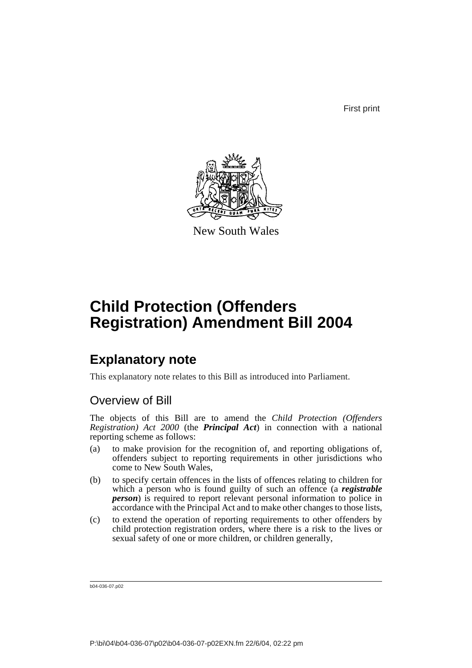First print



New South Wales

# **Child Protection (Offenders Registration) Amendment Bill 2004**

## **Explanatory note**

This explanatory note relates to this Bill as introduced into Parliament.

## Overview of Bill

The objects of this Bill are to amend the *Child Protection (Offenders Registration) Act 2000* (the *Principal Act*) in connection with a national reporting scheme as follows:

- (a) to make provision for the recognition of, and reporting obligations of, offenders subject to reporting requirements in other jurisdictions who come to New South Wales,
- (b) to specify certain offences in the lists of offences relating to children for which a person who is found guilty of such an offence (a *registrable person*) is required to report relevant personal information to police in accordance with the Principal Act and to make other changes to those lists,
- (c) to extend the operation of reporting requirements to other offenders by child protection registration orders, where there is a risk to the lives or sexual safety of one or more children, or children generally,

b04-036-07.p02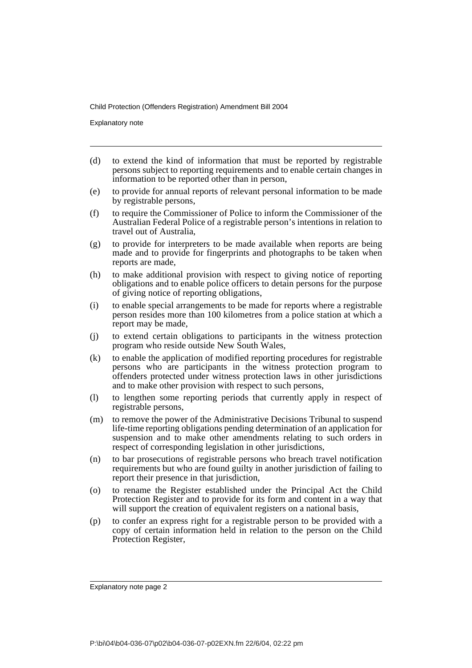Explanatory note

- (d) to extend the kind of information that must be reported by registrable persons subject to reporting requirements and to enable certain changes in information to be reported other than in person,
- (e) to provide for annual reports of relevant personal information to be made by registrable persons,
- (f) to require the Commissioner of Police to inform the Commissioner of the Australian Federal Police of a registrable person's intentions in relation to travel out of Australia,
- (g) to provide for interpreters to be made available when reports are being made and to provide for fingerprints and photographs to be taken when reports are made,
- (h) to make additional provision with respect to giving notice of reporting obligations and to enable police officers to detain persons for the purpose of giving notice of reporting obligations,
- (i) to enable special arrangements to be made for reports where a registrable person resides more than 100 kilometres from a police station at which a report may be made,
- (j) to extend certain obligations to participants in the witness protection program who reside outside New South Wales,
- (k) to enable the application of modified reporting procedures for registrable persons who are participants in the witness protection program to offenders protected under witness protection laws in other jurisdictions and to make other provision with respect to such persons,
- (l) to lengthen some reporting periods that currently apply in respect of registrable persons,
- (m) to remove the power of the Administrative Decisions Tribunal to suspend life-time reporting obligations pending determination of an application for suspension and to make other amendments relating to such orders in respect of corresponding legislation in other jurisdictions,
- (n) to bar prosecutions of registrable persons who breach travel notification requirements but who are found guilty in another jurisdiction of failing to report their presence in that jurisdiction,
- (o) to rename the Register established under the Principal Act the Child Protection Register and to provide for its form and content in a way that will support the creation of equivalent registers on a national basis,
- (p) to confer an express right for a registrable person to be provided with a copy of certain information held in relation to the person on the Child Protection Register,

Explanatory note page 2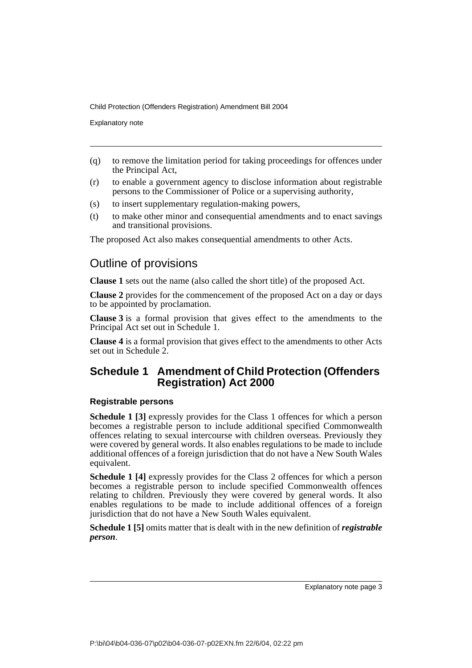Explanatory note

- (q) to remove the limitation period for taking proceedings for offences under the Principal Act,
- (r) to enable a government agency to disclose information about registrable persons to the Commissioner of Police or a supervising authority,
- (s) to insert supplementary regulation-making powers,
- (t) to make other minor and consequential amendments and to enact savings and transitional provisions.

The proposed Act also makes consequential amendments to other Acts.

### Outline of provisions

**Clause 1** sets out the name (also called the short title) of the proposed Act.

**Clause 2** provides for the commencement of the proposed Act on a day or days to be appointed by proclamation.

**Clause 3** is a formal provision that gives effect to the amendments to the Principal Act set out in Schedule 1.

**Clause 4** is a formal provision that gives effect to the amendments to other Acts set out in Schedule 2.

### **Schedule 1 Amendment of Child Protection (Offenders Registration) Act 2000**

### **Registrable persons**

**Schedule 1 [3]** expressly provides for the Class 1 offences for which a person becomes a registrable person to include additional specified Commonwealth offences relating to sexual intercourse with children overseas. Previously they were covered by general words. It also enables regulations to be made to include additional offences of a foreign jurisdiction that do not have a New South Wales equivalent.

**Schedule 1 [4]** expressly provides for the Class 2 offences for which a person becomes a registrable person to include specified Commonwealth offences relating to children. Previously they were covered by general words. It also enables regulations to be made to include additional offences of a foreign jurisdiction that do not have a New South Wales equivalent.

**Schedule 1 [5]** omits matter that is dealt with in the new definition of *registrable person*.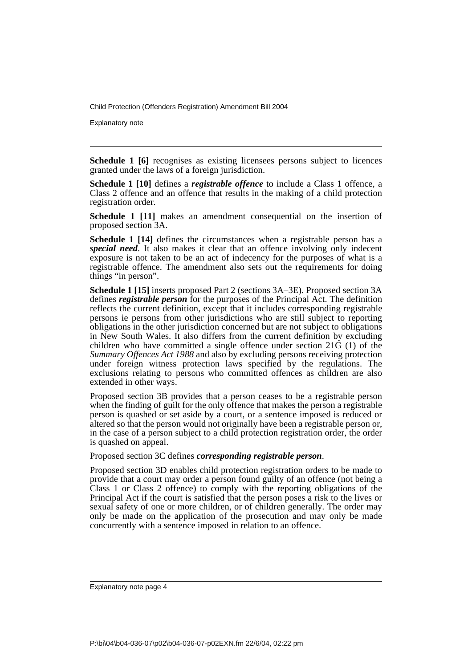Explanatory note

**Schedule 1 [6]** recognises as existing licensees persons subject to licences granted under the laws of a foreign jurisdiction.

**Schedule 1 [10]** defines a *registrable offence* to include a Class 1 offence, a Class 2 offence and an offence that results in the making of a child protection registration order.

**Schedule 1 [11]** makes an amendment consequential on the insertion of proposed section 3A.

**Schedule 1 [14]** defines the circumstances when a registrable person has a *special need*. It also makes it clear that an offence involving only indecent exposure is not taken to be an act of indecency for the purposes of what is a registrable offence. The amendment also sets out the requirements for doing things "in person".

**Schedule 1 [15]** inserts proposed Part 2 (sections 3A–3E). Proposed section 3A defines *registrable person* for the purposes of the Principal Act. The definition reflects the current definition, except that it includes corresponding registrable persons ie persons from other jurisdictions who are still subject to reporting obligations in the other jurisdiction concerned but are not subject to obligations in New South Wales. It also differs from the current definition by excluding children who have committed a single offence under section 21G (1) of the *Summary Offences Act 1988* and also by excluding persons receiving protection under foreign witness protection laws specified by the regulations. The exclusions relating to persons who committed offences as children are also extended in other ways.

Proposed section 3B provides that a person ceases to be a registrable person when the finding of guilt for the only offence that makes the person a registrable person is quashed or set aside by a court, or a sentence imposed is reduced or altered so that the person would not originally have been a registrable person or, in the case of a person subject to a child protection registration order, the order is quashed on appeal.

Proposed section 3C defines *corresponding registrable person*.

Proposed section 3D enables child protection registration orders to be made to provide that a court may order a person found guilty of an offence (not being a Class 1 or Class 2 offence) to comply with the reporting obligations of the Principal Act if the court is satisfied that the person poses a risk to the lives or sexual safety of one or more children, or of children generally. The order may only be made on the application of the prosecution and may only be made concurrently with a sentence imposed in relation to an offence.

Explanatory note page 4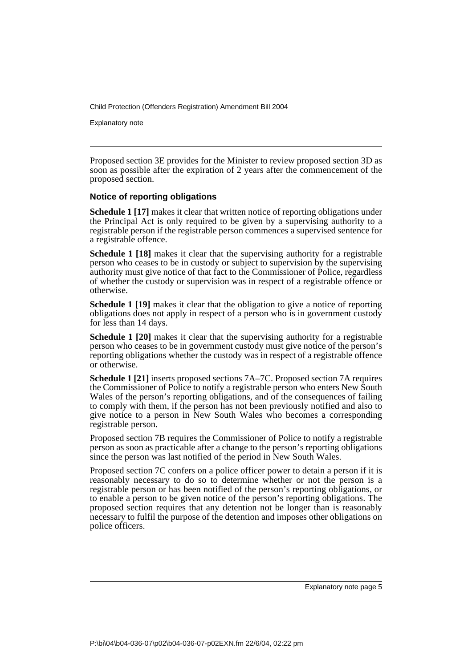Explanatory note

Proposed section 3E provides for the Minister to review proposed section 3D as soon as possible after the expiration of 2 years after the commencement of the proposed section.

### **Notice of reporting obligations**

**Schedule 1 [17]** makes it clear that written notice of reporting obligations under the Principal Act is only required to be given by a supervising authority to a registrable person if the registrable person commences a supervised sentence for a registrable offence.

**Schedule 1 [18]** makes it clear that the supervising authority for a registrable person who ceases to be in custody or subject to supervision by the supervising authority must give notice of that fact to the Commissioner of Police, regardless of whether the custody or supervision was in respect of a registrable offence or otherwise.

**Schedule 1 [19]** makes it clear that the obligation to give a notice of reporting obligations does not apply in respect of a person who is in government custody for less than 14 days.

**Schedule 1 [20]** makes it clear that the supervising authority for a registrable person who ceases to be in government custody must give notice of the person's reporting obligations whether the custody was in respect of a registrable offence or otherwise.

**Schedule 1 [21]** inserts proposed sections 7A–7C. Proposed section 7A requires the Commissioner of Police to notify a registrable person who enters New South Wales of the person's reporting obligations, and of the consequences of failing to comply with them, if the person has not been previously notified and also to give notice to a person in New South Wales who becomes a corresponding registrable person.

Proposed section 7B requires the Commissioner of Police to notify a registrable person as soon as practicable after a change to the person's reporting obligations since the person was last notified of the period in New South Wales.

Proposed section 7C confers on a police officer power to detain a person if it is reasonably necessary to do so to determine whether or not the person is a registrable person or has been notified of the person's reporting obligations, or to enable a person to be given notice of the person's reporting obligations. The proposed section requires that any detention not be longer than is reasonably necessary to fulfil the purpose of the detention and imposes other obligations on police officers.

Explanatory note page 5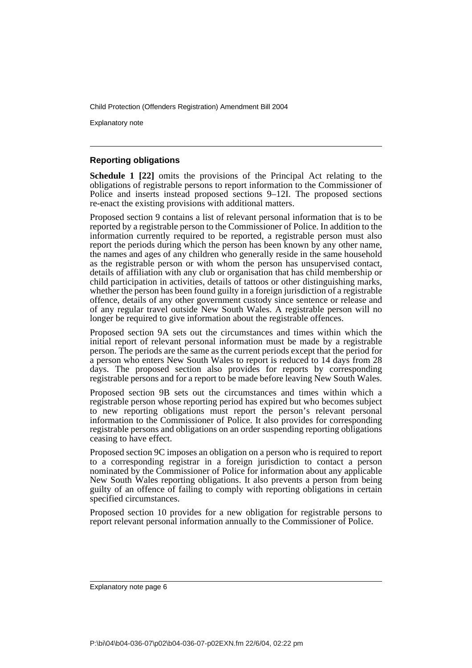Explanatory note

### **Reporting obligations**

**Schedule 1 [22]** omits the provisions of the Principal Act relating to the obligations of registrable persons to report information to the Commissioner of Police and inserts instead proposed sections 9–12I. The proposed sections re-enact the existing provisions with additional matters.

Proposed section 9 contains a list of relevant personal information that is to be reported by a registrable person to the Commissioner of Police. In addition to the information currently required to be reported, a registrable person must also report the periods during which the person has been known by any other name, the names and ages of any children who generally reside in the same household as the registrable person or with whom the person has unsupervised contact, details of affiliation with any club or organisation that has child membership or child participation in activities, details of tattoos or other distinguishing marks, whether the person has been found guilty in a foreign jurisdiction of a registrable offence, details of any other government custody since sentence or release and of any regular travel outside New South Wales. A registrable person will no longer be required to give information about the registrable offences.

Proposed section 9A sets out the circumstances and times within which the initial report of relevant personal information must be made by a registrable person. The periods are the same as the current periods except that the period for a person who enters New South Wales to report is reduced to 14 days from 28 days. The proposed section also provides for reports by corresponding registrable persons and for a report to be made before leaving New South Wales.

Proposed section 9B sets out the circumstances and times within which a registrable person whose reporting period has expired but who becomes subject to new reporting obligations must report the person's relevant personal information to the Commissioner of Police. It also provides for corresponding registrable persons and obligations on an order suspending reporting obligations ceasing to have effect.

Proposed section 9C imposes an obligation on a person who is required to report to a corresponding registrar in a foreign jurisdiction to contact a person nominated by the Commissioner of Police for information about any applicable New South Wales reporting obligations. It also prevents a person from being guilty of an offence of failing to comply with reporting obligations in certain specified circumstances.

Proposed section 10 provides for a new obligation for registrable persons to report relevant personal information annually to the Commissioner of Police.

Explanatory note page 6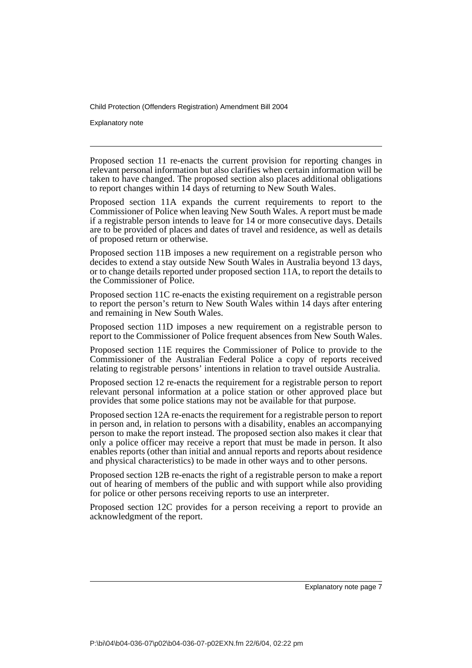Explanatory note

Proposed section 11 re-enacts the current provision for reporting changes in relevant personal information but also clarifies when certain information will be taken to have changed. The proposed section also places additional obligations to report changes within 14 days of returning to New South Wales.

Proposed section 11A expands the current requirements to report to the Commissioner of Police when leaving New South Wales. A report must be made if a registrable person intends to leave for 14 or more consecutive days. Details are to be provided of places and dates of travel and residence, as well as details of proposed return or otherwise.

Proposed section 11B imposes a new requirement on a registrable person who decides to extend a stay outside New South Wales in Australia beyond 13 days, or to change details reported under proposed section 11A, to report the details to the Commissioner of Police.

Proposed section 11C re-enacts the existing requirement on a registrable person to report the person's return to New South Wales within 14 days after entering and remaining in New South Wales.

Proposed section 11D imposes a new requirement on a registrable person to report to the Commissioner of Police frequent absences from New South Wales.

Proposed section 11E requires the Commissioner of Police to provide to the Commissioner of the Australian Federal Police a copy of reports received relating to registrable persons' intentions in relation to travel outside Australia.

Proposed section 12 re-enacts the requirement for a registrable person to report relevant personal information at a police station or other approved place but provides that some police stations may not be available for that purpose.

Proposed section 12A re-enacts the requirement for a registrable person to report in person and, in relation to persons with a disability, enables an accompanying person to make the report instead. The proposed section also makes it clear that only a police officer may receive a report that must be made in person. It also enables reports (other than initial and annual reports and reports about residence and physical characteristics) to be made in other ways and to other persons.

Proposed section 12B re-enacts the right of a registrable person to make a report out of hearing of members of the public and with support while also providing for police or other persons receiving reports to use an interpreter.

Proposed section 12C provides for a person receiving a report to provide an acknowledgment of the report.

Explanatory note page 7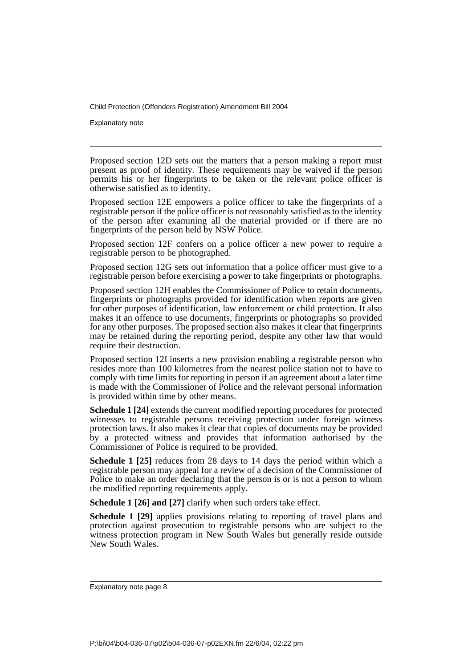Explanatory note

Proposed section 12D sets out the matters that a person making a report must present as proof of identity. These requirements may be waived if the person permits his or her fingerprints to be taken or the relevant police officer is otherwise satisfied as to identity.

Proposed section 12E empowers a police officer to take the fingerprints of a registrable person if the police officer is not reasonably satisfied as to the identity of the person after examining all the material provided or if there are no fingerprints of the person held by NSW Police.

Proposed section 12F confers on a police officer a new power to require a registrable person to be photographed.

Proposed section 12G sets out information that a police officer must give to a registrable person before exercising a power to take fingerprints or photographs.

Proposed section 12H enables the Commissioner of Police to retain documents, fingerprints or photographs provided for identification when reports are given for other purposes of identification, law enforcement or child protection. It also makes it an offence to use documents, fingerprints or photographs so provided for any other purposes. The proposed section also makes it clear that fingerprints may be retained during the reporting period, despite any other law that would require their destruction.

Proposed section 12I inserts a new provision enabling a registrable person who resides more than 100 kilometres from the nearest police station not to have to comply with time limits for reporting in person if an agreement about a later time is made with the Commissioner of Police and the relevant personal information is provided within time by other means.

**Schedule 1 [24]** extends the current modified reporting procedures for protected witnesses to registrable persons receiving protection under foreign witness protection laws. It also makes it clear that copies of documents may be provided by a protected witness and provides that information authorised by the Commissioner of Police is required to be provided.

**Schedule 1 [25]** reduces from 28 days to 14 days the period within which a registrable person may appeal for a review of a decision of the Commissioner of Police to make an order declaring that the person is or is not a person to whom the modified reporting requirements apply.

**Schedule 1 [26] and [27]** clarify when such orders take effect.

**Schedule 1 [29]** applies provisions relating to reporting of travel plans and protection against prosecution to registrable persons who are subject to the witness protection program in New South Wales but generally reside outside New South Wales.

Explanatory note page 8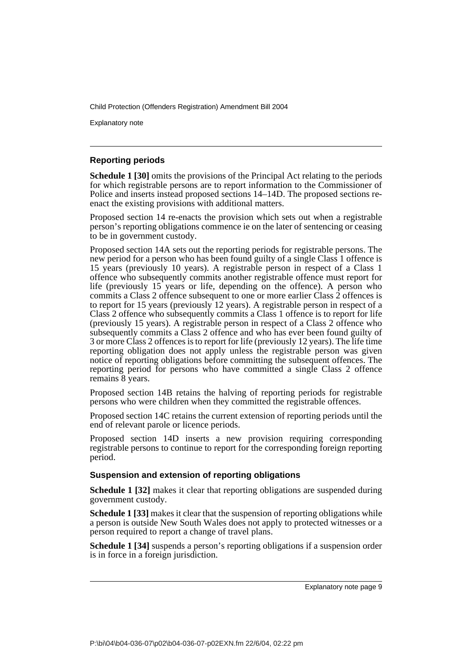Explanatory note

### **Reporting periods**

**Schedule 1 [30]** omits the provisions of the Principal Act relating to the periods for which registrable persons are to report information to the Commissioner of Police and inserts instead proposed sections 14–14D. The proposed sections reenact the existing provisions with additional matters.

Proposed section 14 re-enacts the provision which sets out when a registrable person's reporting obligations commence ie on the later of sentencing or ceasing to be in government custody.

Proposed section 14A sets out the reporting periods for registrable persons. The new period for a person who has been found guilty of a single Class 1 offence is 15 years (previously 10 years). A registrable person in respect of a Class 1 offence who subsequently commits another registrable offence must report for life (previously 15 years or life, depending on the offence). A person who commits a Class 2 offence subsequent to one or more earlier Class 2 offences is to report for 15 years (previously 12 years). A registrable person in respect of a Class 2 offence who subsequently commits a Class 1 offence is to report for life (previously 15 years). A registrable person in respect of a Class 2 offence who subsequently commits a Class 2 offence and who has ever been found guilty of 3 or more Class 2 offences is to report for life (previously 12 years). The life time reporting obligation does not apply unless the registrable person was given notice of reporting obligations before committing the subsequent offences. The reporting period for persons who have committed a single Class 2 offence remains 8 years.

Proposed section 14B retains the halving of reporting periods for registrable persons who were children when they committed the registrable offences.

Proposed section 14C retains the current extension of reporting periods until the end of relevant parole or licence periods.

Proposed section 14D inserts a new provision requiring corresponding registrable persons to continue to report for the corresponding foreign reporting period.

### **Suspension and extension of reporting obligations**

**Schedule 1 [32]** makes it clear that reporting obligations are suspended during government custody.

**Schedule 1 [33]** makes it clear that the suspension of reporting obligations while a person is outside New South Wales does not apply to protected witnesses or a person required to report a change of travel plans.

**Schedule 1 [34]** suspends a person's reporting obligations if a suspension order is in force in a foreign jurisdiction.

Explanatory note page 9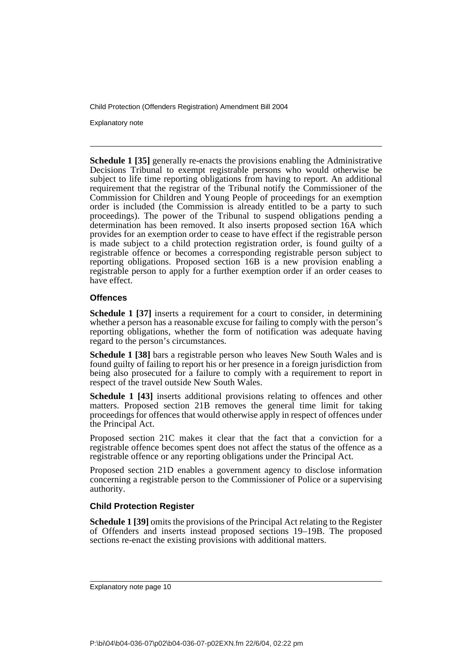Explanatory note

**Schedule 1 [35]** generally re-enacts the provisions enabling the Administrative Decisions Tribunal to exempt registrable persons who would otherwise be subject to life time reporting obligations from having to report. An additional requirement that the registrar of the Tribunal notify the Commissioner of the Commission for Children and Young People of proceedings for an exemption order is included (the Commission is already entitled to be a party to such proceedings). The power of the Tribunal to suspend obligations pending a determination has been removed. It also inserts proposed section 16A which provides for an exemption order to cease to have effect if the registrable person is made subject to a child protection registration order, is found guilty of a registrable offence or becomes a corresponding registrable person subject to reporting obligations. Proposed section 16B is a new provision enabling a registrable person to apply for a further exemption order if an order ceases to have effect.

### **Offences**

**Schedule 1 [37]** inserts a requirement for a court to consider, in determining whether a person has a reasonable excuse for failing to comply with the person's reporting obligations, whether the form of notification was adequate having regard to the person's circumstances.

**Schedule 1 [38]** bars a registrable person who leaves New South Wales and is found guilty of failing to report his or her presence in a foreign jurisdiction from being also prosecuted for a failure to comply with a requirement to report in respect of the travel outside New South Wales.

**Schedule 1 [43]** inserts additional provisions relating to offences and other matters. Proposed section 21B removes the general time limit for taking proceedings for offences that would otherwise apply in respect of offences under the Principal Act.

Proposed section 21C makes it clear that the fact that a conviction for a registrable offence becomes spent does not affect the status of the offence as a registrable offence or any reporting obligations under the Principal Act.

Proposed section 21D enables a government agency to disclose information concerning a registrable person to the Commissioner of Police or a supervising authority.

### **Child Protection Register**

**Schedule 1 [39]** omits the provisions of the Principal Act relating to the Register of Offenders and inserts instead proposed sections 19–19B. The proposed sections re-enact the existing provisions with additional matters.

Explanatory note page 10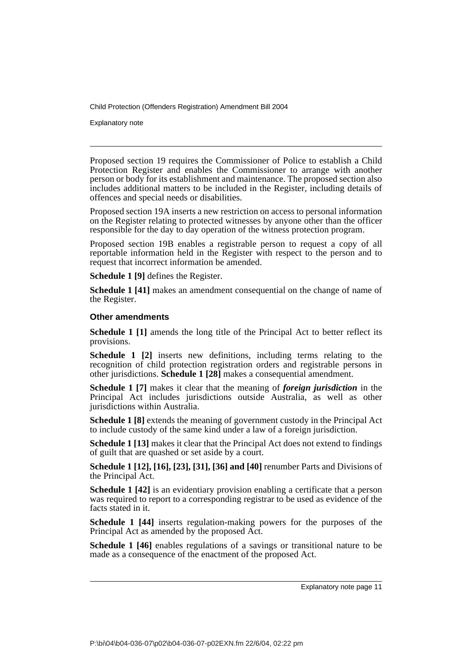Explanatory note

Proposed section 19 requires the Commissioner of Police to establish a Child Protection Register and enables the Commissioner to arrange with another person or body for its establishment and maintenance. The proposed section also includes additional matters to be included in the Register, including details of offences and special needs or disabilities.

Proposed section 19A inserts a new restriction on access to personal information on the Register relating to protected witnesses by anyone other than the officer responsible for the day to day operation of the witness protection program.

Proposed section 19B enables a registrable person to request a copy of all reportable information held in the Register with respect to the person and to request that incorrect information be amended.

**Schedule 1 [9]** defines the Register.

**Schedule 1 [41]** makes an amendment consequential on the change of name of the Register.

### **Other amendments**

**Schedule 1 [1]** amends the long title of the Principal Act to better reflect its provisions.

**Schedule 1 [2]** inserts new definitions, including terms relating to the recognition of child protection registration orders and registrable persons in other jurisdictions. **Schedule 1 [28]** makes a consequential amendment.

**Schedule 1 [7]** makes it clear that the meaning of *foreign jurisdiction* in the Principal Act includes jurisdictions outside Australia, as well as other jurisdictions within Australia.

**Schedule 1 [8]** extends the meaning of government custody in the Principal Act to include custody of the same kind under a law of a foreign jurisdiction.

**Schedule 1 [13]** makes it clear that the Principal Act does not extend to findings of guilt that are quashed or set aside by a court.

**Schedule 1 [12], [16], [23], [31], [36] and [40]** renumber Parts and Divisions of the Principal Act.

**Schedule 1 [42]** is an evidentiary provision enabling a certificate that a person was required to report to a corresponding registrar to be used as evidence of the facts stated in it.

**Schedule 1 [44]** inserts regulation-making powers for the purposes of the Principal Act as amended by the proposed Act.

**Schedule 1 [46]** enables regulations of a savings or transitional nature to be made as a consequence of the enactment of the proposed Act.

Explanatory note page 11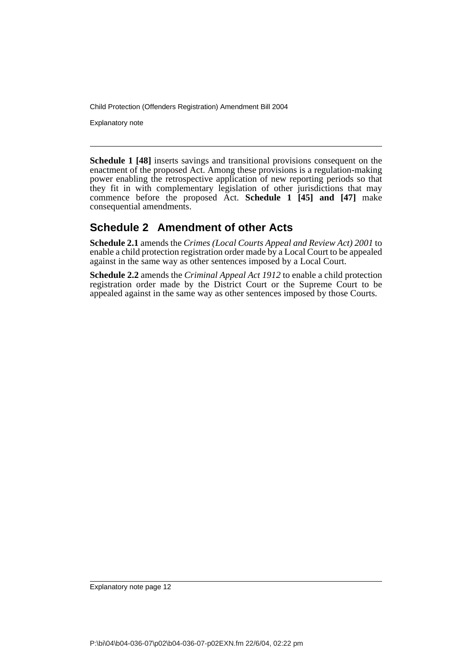Explanatory note

**Schedule 1 [48]** inserts savings and transitional provisions consequent on the enactment of the proposed Act. Among these provisions is a regulation-making power enabling the retrospective application of new reporting periods so that they fit in with complementary legislation of other jurisdictions that may commence before the proposed Act. **Schedule 1 [45] and [47]** make consequential amendments.

### **Schedule 2 Amendment of other Acts**

**Schedule 2.1** amends the *Crimes (Local Courts Appeal and Review Act) 2001* to enable a child protection registration order made by a Local Court to be appealed against in the same way as other sentences imposed by a Local Court.

**Schedule 2.2** amends the *Criminal Appeal Act 1912* to enable a child protection registration order made by the District Court or the Supreme Court to be appealed against in the same way as other sentences imposed by those Courts.

Explanatory note page 12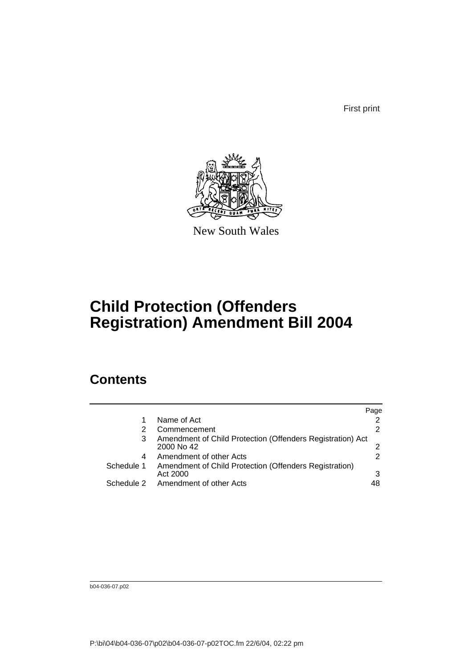First print



New South Wales

# **Child Protection (Offenders Registration) Amendment Bill 2004**

## **Contents**

|            |                                                                          | Page          |
|------------|--------------------------------------------------------------------------|---------------|
|            | Name of Act                                                              |               |
|            | Commencement                                                             | 2             |
| 3          | Amendment of Child Protection (Offenders Registration) Act<br>2000 No 42 | $\mathcal{P}$ |
| 4          | Amendment of other Acts                                                  | 2             |
| Schedule 1 | Amendment of Child Protection (Offenders Registration)<br>Act 2000       | 3             |
| Schedule 2 | Amendment of other Acts                                                  | 48            |

b04-036-07.p02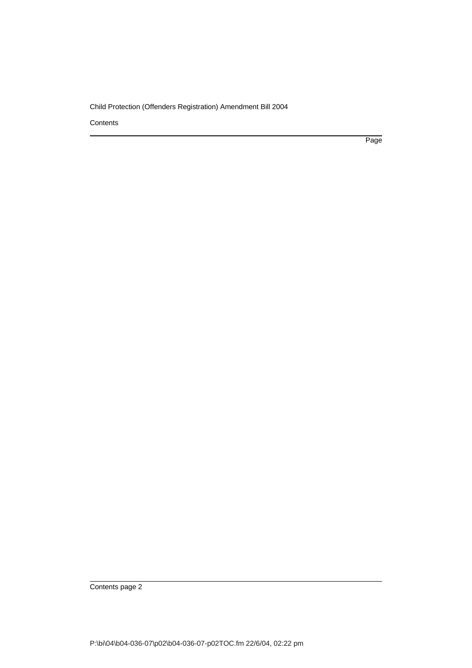**Contents** 

Page

Contents page 2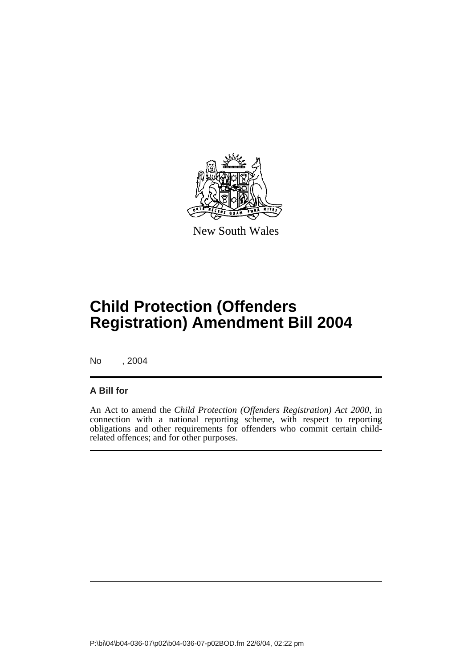

New South Wales

# **Child Protection (Offenders Registration) Amendment Bill 2004**

No , 2004

### **A Bill for**

An Act to amend the *Child Protection (Offenders Registration) Act 2000*, in connection with a national reporting scheme, with respect to reporting obligations and other requirements for offenders who commit certain childrelated offences; and for other purposes.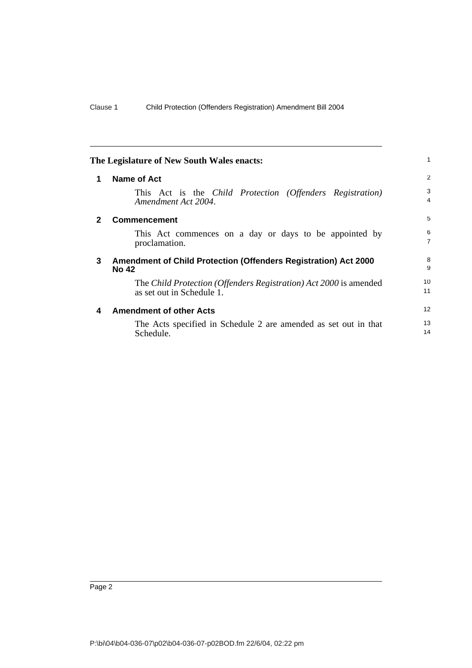<span id="page-15-3"></span><span id="page-15-2"></span><span id="page-15-1"></span><span id="page-15-0"></span>

|   | The Legislature of New South Wales enacts:                                                     | 1                   |
|---|------------------------------------------------------------------------------------------------|---------------------|
| 1 | Name of Act                                                                                    | 2                   |
|   | This Act is the <i>Child Protection (Offenders Registration)</i><br>Amendment Act 2004.        | 3<br>4              |
| 2 | <b>Commencement</b>                                                                            | 5                   |
|   | This Act commences on a day or days to be appointed by<br>proclamation.                        | 6<br>$\overline{7}$ |
| 3 | Amendment of Child Protection (Offenders Registration) Act 2000<br><b>No 42</b>                | 8<br>9              |
|   | The Child Protection (Offenders Registration) Act 2000 is amended<br>as set out in Schedule 1. | 10<br>11            |
| 4 | <b>Amendment of other Acts</b>                                                                 | 12                  |
|   | The Acts specified in Schedule 2 are amended as set out in that<br>Schedule.                   | 13<br>14            |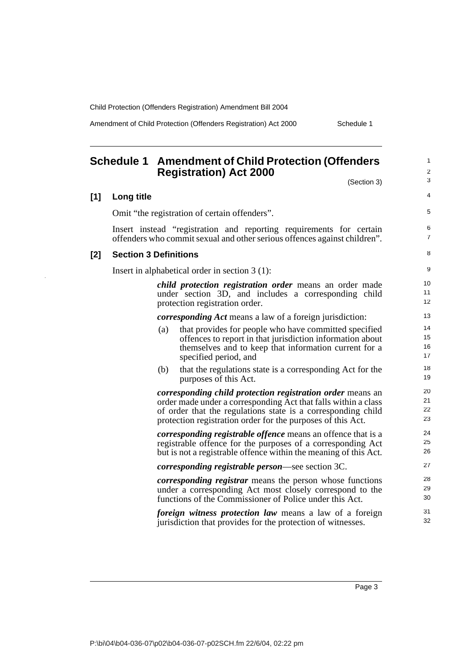$\bar{z}$ 

Amendment of Child Protection (Offenders Registration) Act 2000 Schedule 1

<span id="page-16-0"></span>

|     | <b>Schedule 1</b><br><b>Amendment of Child Protection (Offenders</b><br><b>Registration</b> ) Act 2000                                                                                                                                                             | 1<br>2               |
|-----|--------------------------------------------------------------------------------------------------------------------------------------------------------------------------------------------------------------------------------------------------------------------|----------------------|
|     | (Section 3)                                                                                                                                                                                                                                                        | 3                    |
| [1] | Long title                                                                                                                                                                                                                                                         | 4                    |
|     | Omit "the registration of certain offenders".                                                                                                                                                                                                                      | 5                    |
|     | Insert instead "registration and reporting requirements for certain<br>offenders who commit sexual and other serious offences against children".                                                                                                                   | 6<br>7               |
| [2] | <b>Section 3 Definitions</b>                                                                                                                                                                                                                                       | 8                    |
|     | Insert in alphabetical order in section $3(1)$ :                                                                                                                                                                                                                   | 9                    |
|     | child protection registration order means an order made<br>under section 3D, and includes a corresponding child<br>protection registration order.                                                                                                                  | 10<br>11<br>12       |
|     | <i>corresponding Act</i> means a law of a foreign jurisdiction:                                                                                                                                                                                                    | 13                   |
|     | that provides for people who have committed specified<br>(a)<br>offences to report in that jurisdiction information about<br>themselves and to keep that information current for a<br>specified period, and                                                        | 14<br>15<br>16<br>17 |
|     | (b)<br>that the regulations state is a corresponding Act for the<br>purposes of this Act.                                                                                                                                                                          | 18<br>19             |
|     | <i>corresponding child protection registration order means an</i><br>order made under a corresponding Act that falls within a class<br>of order that the regulations state is a corresponding child<br>protection registration order for the purposes of this Act. | 20<br>21<br>22<br>23 |
|     | <i>corresponding registrable offence</i> means an offence that is a<br>registrable offence for the purposes of a corresponding Act<br>but is not a registrable offence within the meaning of this Act.                                                             | 24<br>25<br>26       |
|     | <i>corresponding registrable person—see section 3C.</i>                                                                                                                                                                                                            | 27                   |
|     | <i>corresponding registrar</i> means the person whose functions<br>under a corresponding Act most closely correspond to the<br>functions of the Commissioner of Police under this Act.                                                                             | 28<br>29<br>30       |
|     | <i>foreign witness protection law</i> means a law of a foreign<br>jurisdiction that provides for the protection of witnesses.                                                                                                                                      | 31<br>32             |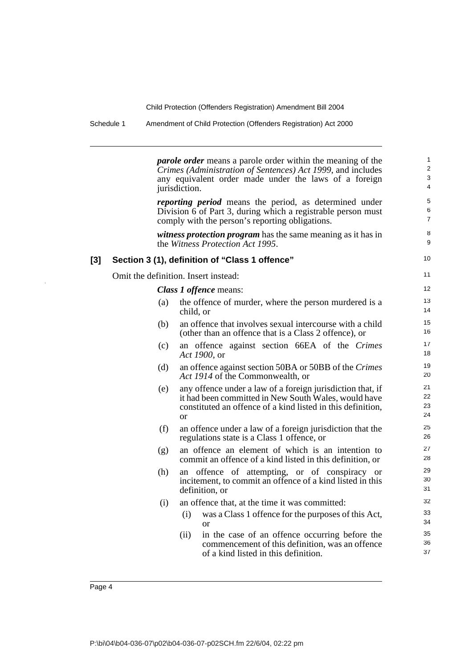Schedule 1 Amendment of Child Protection (Offenders Registration) Act 2000

*parole order* means a parole order within the meaning of the *Crimes (Administration of Sentences) Act 1999*, and includes any equivalent order made under the laws of a foreign jurisdiction. *reporting period* means the period, as determined under Division 6 of Part 3, during which a registrable person must comply with the person's reporting obligations. *witness protection program* has the same meaning as it has in the *Witness Protection Act 1995*. **[3] Section 3 (1), definition of "Class 1 offence"** Omit the definition. Insert instead: *Class 1 offence* means: (a) the offence of murder, where the person murdered is a child, or (b) an offence that involves sexual intercourse with a child (other than an offence that is a Class 2 offence), or (c) an offence against section 66EA of the *Crimes Act 1900*, or (d) an offence against section 50BA or 50BB of the *Crimes Act 1914* of the Commonwealth, or (e) any offence under a law of a foreign jurisdiction that, if it had been committed in New South Wales, would have constituted an offence of a kind listed in this definition, or (f) an offence under a law of a foreign jurisdiction that the regulations state is a Class 1 offence, or (g) an offence an element of which is an intention to commit an offence of a kind listed in this definition, or (h) an offence of attempting, or of conspiracy or incitement, to commit an offence of a kind listed in this definition, or (i) an offence that, at the time it was committed: (i) was a Class 1 offence for the purposes of this Act, or (ii) in the case of an offence occurring before the commencement of this definition, was an offence of a kind listed in this definition. 1  $\overline{2}$ 3 4 5 6 7 8 9 10 11 12 13 14 15 16 17 18 19 20 21 22 23 24 25 26 27 28 29 30 31 32 33 34 35 36 37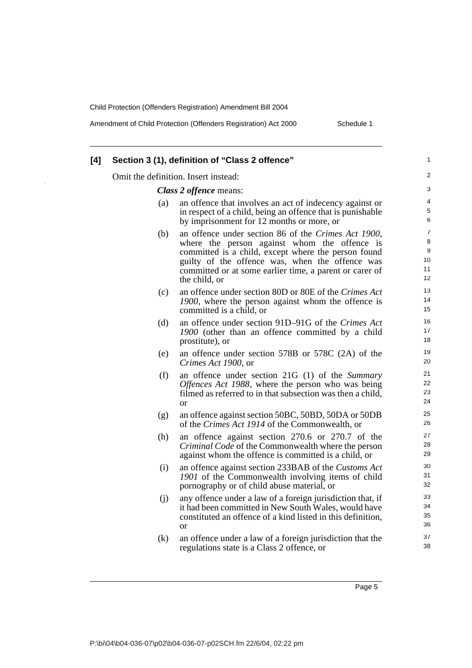Amendment of Child Protection (Offenders Registration) Act 2000 Schedule 1

| [4] |     | Section 3 (1), definition of "Class 2 offence"                                                                                                                                                                                                                                            | 1                                          |
|-----|-----|-------------------------------------------------------------------------------------------------------------------------------------------------------------------------------------------------------------------------------------------------------------------------------------------|--------------------------------------------|
|     |     | Omit the definition. Insert instead:                                                                                                                                                                                                                                                      | $\overline{2}$                             |
|     |     | Class 2 offence means:                                                                                                                                                                                                                                                                    | 3                                          |
|     | (a) | an offence that involves an act of indecency against or<br>in respect of a child, being an offence that is punishable<br>by imprisonment for 12 months or more, or                                                                                                                        | $\overline{4}$<br>5<br>6                   |
|     | (b) | an offence under section 86 of the Crimes Act 1900,<br>where the person against whom the offence is<br>committed is a child, except where the person found<br>guilty of the offence was, when the offence was<br>committed or at some earlier time, a parent or carer of<br>the child, or | $\overline{7}$<br>8<br>9<br>10<br>11<br>12 |
|     | (c) | an offence under section 80D or 80E of the Crimes Act<br>1900, where the person against whom the offence is<br>committed is a child, or                                                                                                                                                   | 13<br>14<br>15                             |
|     | (d) | an offence under section 91D–91G of the Crimes Act<br>1900 (other than an offence committed by a child<br>prostitute), or                                                                                                                                                                 | 16<br>17<br>18                             |
|     | (e) | an offence under section 578B or 578C (2A) of the<br>Crimes Act 1900, or                                                                                                                                                                                                                  | 19<br>20                                   |
|     | (f) | an offence under section 21G (1) of the Summary<br>Offences Act 1988, where the person who was being<br>filmed as referred to in that subsection was then a child,<br>or                                                                                                                  | 21<br>22<br>23<br>24                       |
|     | (g) | an offence against section 50BC, 50BD, 50DA or 50DB<br>of the <i>Crimes Act 1914</i> of the Commonwealth, or                                                                                                                                                                              | 25<br>26                                   |
|     | (h) | an offence against section 270.6 or 270.7 of the<br><i>Criminal Code</i> of the Commonwealth where the person<br>against whom the offence is committed is a child, or                                                                                                                     | 27<br>28<br>29                             |
|     | (i) | an offence against section 233BAB of the Customs Act<br>1901 of the Commonwealth involving items of child<br>pornography or of child abuse material, or                                                                                                                                   | 30<br>31<br>32                             |
|     | (j) | any offence under a law of a foreign jurisdiction that, if<br>it had been committed in New South Wales, would have<br>constituted an offence of a kind listed in this definition,<br><b>or</b>                                                                                            | 33<br>34<br>35<br>36                       |
|     | (k) | an offence under a law of a foreign jurisdiction that the<br>regulations state is a Class 2 offence, or                                                                                                                                                                                   | 37<br>38                                   |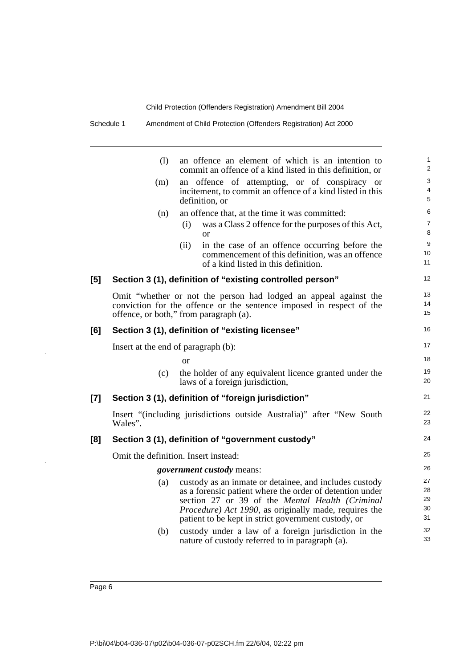|       | (1)                                 | an offence an element of which is an intention to<br>commit an offence of a kind listed in this definition, or                                                                                                                                                                        | $\mathbf{1}$<br>2          |
|-------|-------------------------------------|---------------------------------------------------------------------------------------------------------------------------------------------------------------------------------------------------------------------------------------------------------------------------------------|----------------------------|
|       | (m)                                 | an offence of attempting, or of conspiracy or<br>incitement, to commit an offence of a kind listed in this<br>definition, or                                                                                                                                                          | 3<br>$\overline{4}$<br>5   |
|       | (n)                                 | an offence that, at the time it was committed:                                                                                                                                                                                                                                        | 6                          |
|       |                                     | (i)<br>was a Class 2 offence for the purposes of this Act,<br><sub>or</sub>                                                                                                                                                                                                           | $\overline{7}$<br>8        |
|       |                                     | in the case of an offence occurring before the<br>(ii)<br>commencement of this definition, was an offence<br>of a kind listed in this definition.                                                                                                                                     | 9<br>10<br>11              |
| [5]   |                                     | Section 3 (1), definition of "existing controlled person"                                                                                                                                                                                                                             | 12                         |
|       |                                     | Omit "whether or not the person had lodged an appeal against the<br>conviction for the offence or the sentence imposed in respect of the<br>offence, or both," from paragraph (a).                                                                                                    | 13<br>14<br>15             |
| [6]   |                                     | Section 3 (1), definition of "existing licensee"                                                                                                                                                                                                                                      | 16                         |
|       | Insert at the end of paragraph (b): |                                                                                                                                                                                                                                                                                       | 17                         |
|       |                                     | or                                                                                                                                                                                                                                                                                    | 18                         |
|       | (c)                                 | the holder of any equivalent licence granted under the<br>laws of a foreign jurisdiction,                                                                                                                                                                                             | 19<br>20                   |
| $[7]$ |                                     | Section 3 (1), definition of "foreign jurisdiction"                                                                                                                                                                                                                                   | 21                         |
|       | Wales".                             | Insert "(including jurisdictions outside Australia)" after "New South                                                                                                                                                                                                                 | 22<br>23                   |
| [8]   |                                     | Section 3 (1), definition of "government custody"                                                                                                                                                                                                                                     | 24                         |
|       |                                     | Omit the definition. Insert instead:                                                                                                                                                                                                                                                  | 25                         |
|       |                                     | <i>government custody</i> means:                                                                                                                                                                                                                                                      | 26                         |
|       | (a)                                 | custody as an inmate or detainee, and includes custody<br>as a forensic patient where the order of detention under<br>section 27 or 39 of the Mental Health (Criminal<br>Procedure) Act 1990, as originally made, requires the<br>patient to be kept in strict government custody, or | 27<br>28<br>29<br>30<br>31 |
|       | (b)                                 | custody under a law of a foreign jurisdiction in the<br>nature of custody referred to in paragraph (a).                                                                                                                                                                               | 32<br>33                   |
|       |                                     |                                                                                                                                                                                                                                                                                       |                            |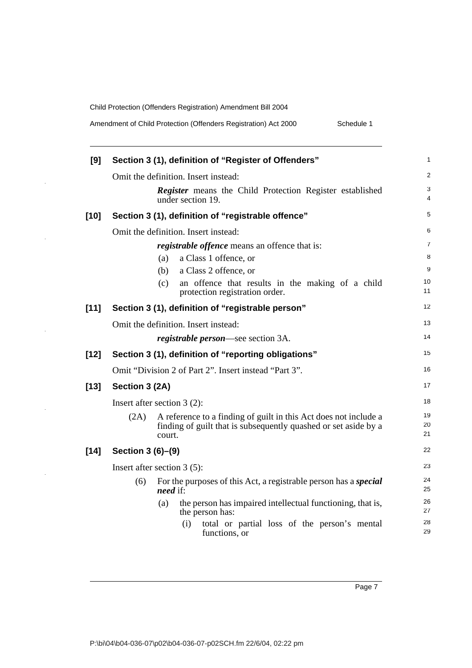$\frac{1}{2}$ 

 $\hat{\mathcal{A}}$ 

 $\hat{\mathcal{A}}$ 

 $\hat{\mathcal{A}}$ 

 $\sim$ 

| Amendment of Child Protection (Offenders Registration) Act 2000 |  |  |  |
|-----------------------------------------------------------------|--|--|--|
|                                                                 |  |  |  |

| [9]    | Section 3 (1), definition of "Register of Offenders"                                                                                                  | 1              |
|--------|-------------------------------------------------------------------------------------------------------------------------------------------------------|----------------|
|        | Omit the definition. Insert instead:                                                                                                                  | $\overline{2}$ |
|        | <b>Register</b> means the Child Protection Register established<br>under section 19.                                                                  | 3<br>4         |
| $[10]$ | Section 3 (1), definition of "registrable offence"                                                                                                    | 5              |
|        | Omit the definition. Insert instead:                                                                                                                  | 6              |
|        | <i>registrable offence</i> means an offence that is:                                                                                                  | $\overline{7}$ |
|        | a Class 1 offence, or<br>(a)                                                                                                                          | 8              |
|        | a Class 2 offence, or<br>(b)                                                                                                                          | 9              |
|        | an offence that results in the making of a child<br>(c)<br>protection registration order.                                                             | 10<br>11       |
| $[11]$ | Section 3 (1), definition of "registrable person"                                                                                                     | 12             |
|        | Omit the definition. Insert instead:                                                                                                                  | 13             |
|        | <i>registrable person</i> —see section 3A.                                                                                                            | 14             |
| $[12]$ | Section 3 (1), definition of "reporting obligations"                                                                                                  | 15             |
|        | Omit "Division 2 of Part 2". Insert instead "Part 3".                                                                                                 | 16             |
| $[13]$ | Section 3 (2A)                                                                                                                                        | 17             |
|        | Insert after section $3(2)$ :                                                                                                                         | 18             |
|        | A reference to a finding of guilt in this Act does not include a<br>(2A)<br>finding of guilt that is subsequently quashed or set aside by a<br>court. | 19<br>20<br>21 |
| $[14]$ | Section 3 (6)-(9)                                                                                                                                     | 22             |
|        | Insert after section $3(5)$ :                                                                                                                         | 23             |
|        | (6)<br>For the purposes of this Act, a registrable person has a <i>special</i><br><i>need</i> if:                                                     | 24<br>25       |
|        | the person has impaired intellectual functioning, that is,<br>(a)<br>the person has:                                                                  | 26<br>27       |
|        | (i)<br>total or partial loss of the person's mental<br>functions, or                                                                                  | 28<br>29       |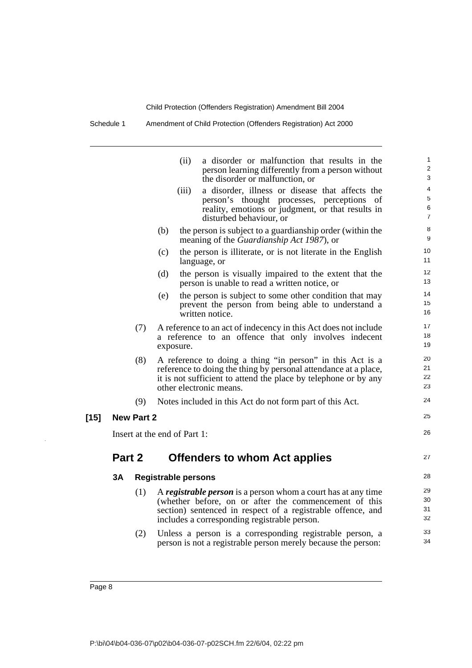Schedule 1 Amendment of Child Protection (Offenders Registration) Act 2000

| (ii)      | a disorder or malfunction that results in the<br>person learning differently from a person without<br>the disorder or malfunction, or                                            | $\mathbf 1$<br>$\overline{\mathbf{c}}$<br>3                                                                                                                                                                                                                                                                                                                                                                                                                                                                                                                                                                                                                                                                                                                                                                                                                                                                                                                                                                                                                                                                                                                                                                                                                                                                                           |
|-----------|----------------------------------------------------------------------------------------------------------------------------------------------------------------------------------|---------------------------------------------------------------------------------------------------------------------------------------------------------------------------------------------------------------------------------------------------------------------------------------------------------------------------------------------------------------------------------------------------------------------------------------------------------------------------------------------------------------------------------------------------------------------------------------------------------------------------------------------------------------------------------------------------------------------------------------------------------------------------------------------------------------------------------------------------------------------------------------------------------------------------------------------------------------------------------------------------------------------------------------------------------------------------------------------------------------------------------------------------------------------------------------------------------------------------------------------------------------------------------------------------------------------------------------|
| (iii)     | a disorder, illness or disease that affects the<br>person's thought processes, perceptions<br>of<br>reality, emotions or judgment, or that results in<br>disturbed behaviour, or | 4<br>5<br>6<br>7                                                                                                                                                                                                                                                                                                                                                                                                                                                                                                                                                                                                                                                                                                                                                                                                                                                                                                                                                                                                                                                                                                                                                                                                                                                                                                                      |
| (b)       |                                                                                                                                                                                  | 8<br>9                                                                                                                                                                                                                                                                                                                                                                                                                                                                                                                                                                                                                                                                                                                                                                                                                                                                                                                                                                                                                                                                                                                                                                                                                                                                                                                                |
| (c)       |                                                                                                                                                                                  | 10<br>11                                                                                                                                                                                                                                                                                                                                                                                                                                                                                                                                                                                                                                                                                                                                                                                                                                                                                                                                                                                                                                                                                                                                                                                                                                                                                                                              |
| (d)       |                                                                                                                                                                                  | 12<br>13                                                                                                                                                                                                                                                                                                                                                                                                                                                                                                                                                                                                                                                                                                                                                                                                                                                                                                                                                                                                                                                                                                                                                                                                                                                                                                                              |
| (e)       |                                                                                                                                                                                  | 14<br>15<br>16                                                                                                                                                                                                                                                                                                                                                                                                                                                                                                                                                                                                                                                                                                                                                                                                                                                                                                                                                                                                                                                                                                                                                                                                                                                                                                                        |
| exposure. |                                                                                                                                                                                  | 17<br>18<br>19                                                                                                                                                                                                                                                                                                                                                                                                                                                                                                                                                                                                                                                                                                                                                                                                                                                                                                                                                                                                                                                                                                                                                                                                                                                                                                                        |
|           |                                                                                                                                                                                  | 20<br>21<br>22<br>23                                                                                                                                                                                                                                                                                                                                                                                                                                                                                                                                                                                                                                                                                                                                                                                                                                                                                                                                                                                                                                                                                                                                                                                                                                                                                                                  |
|           |                                                                                                                                                                                  | 24                                                                                                                                                                                                                                                                                                                                                                                                                                                                                                                                                                                                                                                                                                                                                                                                                                                                                                                                                                                                                                                                                                                                                                                                                                                                                                                                    |
|           |                                                                                                                                                                                  | 25                                                                                                                                                                                                                                                                                                                                                                                                                                                                                                                                                                                                                                                                                                                                                                                                                                                                                                                                                                                                                                                                                                                                                                                                                                                                                                                                    |
|           |                                                                                                                                                                                  | 26                                                                                                                                                                                                                                                                                                                                                                                                                                                                                                                                                                                                                                                                                                                                                                                                                                                                                                                                                                                                                                                                                                                                                                                                                                                                                                                                    |
|           |                                                                                                                                                                                  | 27                                                                                                                                                                                                                                                                                                                                                                                                                                                                                                                                                                                                                                                                                                                                                                                                                                                                                                                                                                                                                                                                                                                                                                                                                                                                                                                                    |
|           |                                                                                                                                                                                  | 28                                                                                                                                                                                                                                                                                                                                                                                                                                                                                                                                                                                                                                                                                                                                                                                                                                                                                                                                                                                                                                                                                                                                                                                                                                                                                                                                    |
|           |                                                                                                                                                                                  | 29<br>30<br>31<br>32                                                                                                                                                                                                                                                                                                                                                                                                                                                                                                                                                                                                                                                                                                                                                                                                                                                                                                                                                                                                                                                                                                                                                                                                                                                                                                                  |
|           |                                                                                                                                                                                  | 33<br>34                                                                                                                                                                                                                                                                                                                                                                                                                                                                                                                                                                                                                                                                                                                                                                                                                                                                                                                                                                                                                                                                                                                                                                                                                                                                                                                              |
|           | <b>New Part 2</b>                                                                                                                                                                | the person is subject to a guardianship order (within the<br>meaning of the Guardianship Act 1987), or<br>the person is illiterate, or is not literate in the English<br>language, or<br>the person is visually impaired to the extent that the<br>person is unable to read a written notice, or<br>the person is subject to some other condition that may<br>prevent the person from being able to understand a<br>written notice.<br>A reference to an act of indecency in this Act does not include<br>a reference to an offence that only involves indecent<br>A reference to doing a thing "in person" in this Act is a<br>reference to doing the thing by personal attendance at a place,<br>it is not sufficient to attend the place by telephone or by any<br>other electronic means.<br>Notes included in this Act do not form part of this Act.<br>Insert at the end of Part 1:<br><b>Offenders to whom Act applies</b><br><b>Registrable persons</b><br>A registrable person is a person whom a court has at any time<br>(whether before, on or after the commencement of this<br>section) sentenced in respect of a registrable offence, and<br>includes a corresponding registrable person.<br>Unless a person is a corresponding registrable person, a<br>person is not a registrable person merely because the person: |

 $[15]$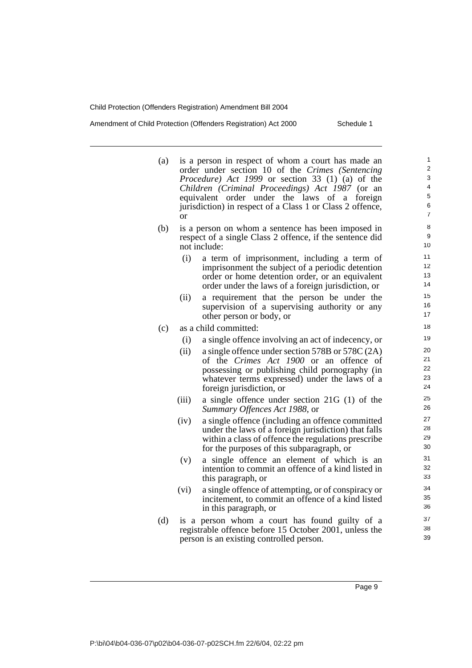Amendment of Child Protection (Offenders Registration) Act 2000 Schedule 1

- (a) is a person in respect of whom a court has made an order under section 10 of the *Crimes (Sentencing Procedure) Act 1999* or section 33 (1) (a) of the *Children (Criminal Proceedings) Act 1987* (or an equivalent order under the laws of a foreign jurisdiction) in respect of a Class 1 or Class 2 offence, or
- (b) is a person on whom a sentence has been imposed in respect of a single Class 2 offence, if the sentence did not include:
	- (i) a term of imprisonment, including a term of imprisonment the subject of a periodic detention order or home detention order, or an equivalent order under the laws of a foreign jurisdiction, or
	- (ii) a requirement that the person be under the supervision of a supervising authority or any other person or body, or
- (c) as a child committed:
	- (i) a single offence involving an act of indecency, or
	- (ii) a single offence under section 578B or 578C  $(2A)$ of the *Crimes Act 1900* or an offence of possessing or publishing child pornography (in whatever terms expressed) under the laws of a foreign jurisdiction, or
	- (iii) a single offence under section 21G (1) of the *Summary Offences Act 1988*, or
	- (iv) a single offence (including an offence committed under the laws of a foreign jurisdiction) that falls within a class of offence the regulations prescribe for the purposes of this subparagraph, or
	- (v) a single offence an element of which is an intention to commit an offence of a kind listed in this paragraph, or
	- (vi) a single offence of attempting, or of conspiracy or incitement, to commit an offence of a kind listed in this paragraph, or
- (d) is a person whom a court has found guilty of a registrable offence before 15 October 2001, unless the person is an existing controlled person.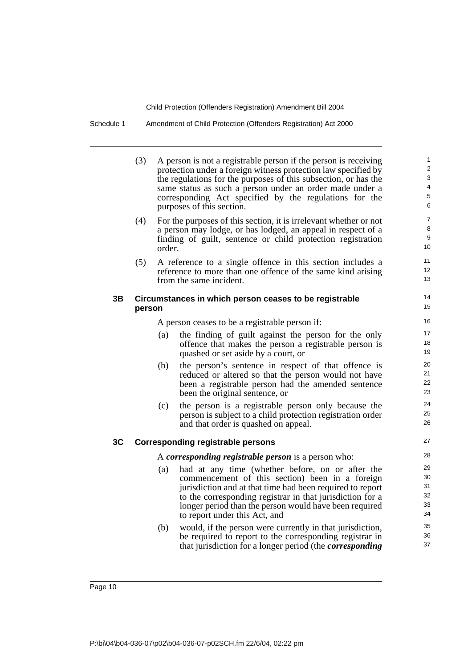Schedule 1 Amendment of Child Protection (Offenders Registration) Act 2000

|    | (3)    |        | A person is not a registrable person if the person is receiving<br>protection under a foreign witness protection law specified by<br>the regulations for the purposes of this subsection, or has the<br>same status as such a person under an order made under a<br>corresponding Act specified by the regulations for the<br>purposes of this section. | 1<br>$\overline{2}$<br>$\sqrt{3}$<br>$\overline{4}$<br>5<br>6 |
|----|--------|--------|---------------------------------------------------------------------------------------------------------------------------------------------------------------------------------------------------------------------------------------------------------------------------------------------------------------------------------------------------------|---------------------------------------------------------------|
|    | (4)    | order. | For the purposes of this section, it is irrelevant whether or not<br>a person may lodge, or has lodged, an appeal in respect of a<br>finding of guilt, sentence or child protection registration                                                                                                                                                        | $\overline{7}$<br>8<br>$\boldsymbol{9}$<br>10                 |
|    | (5)    |        | A reference to a single offence in this section includes a<br>reference to more than one offence of the same kind arising<br>from the same incident.                                                                                                                                                                                                    | 11<br>12<br>13                                                |
| 3Β | person |        | Circumstances in which person ceases to be registrable                                                                                                                                                                                                                                                                                                  | 14<br>15                                                      |
|    |        |        | A person ceases to be a registrable person if:                                                                                                                                                                                                                                                                                                          | 16                                                            |
|    |        | (a)    | the finding of guilt against the person for the only<br>offence that makes the person a registrable person is<br>quashed or set aside by a court, or                                                                                                                                                                                                    | 17<br>18<br>19                                                |
|    |        | (b)    | the person's sentence in respect of that offence is<br>reduced or altered so that the person would not have<br>been a registrable person had the amended sentence                                                                                                                                                                                       | 20<br>21<br>22                                                |

(c) the person is a registrable person only because the person is subject to a child protection registration order and that order is quashed on appeal.

### **3C Corresponding registrable persons**

A *corresponding registrable person* is a person who:

been the original sentence, or

- (a) had at any time (whether before, on or after the commencement of this section) been in a foreign jurisdiction and at that time had been required to report to the corresponding registrar in that jurisdiction for a longer period than the person would have been required to report under this Act, and
- (b) would, if the person were currently in that jurisdiction, be required to report to the corresponding registrar in that jurisdiction for a longer period (the *corresponding*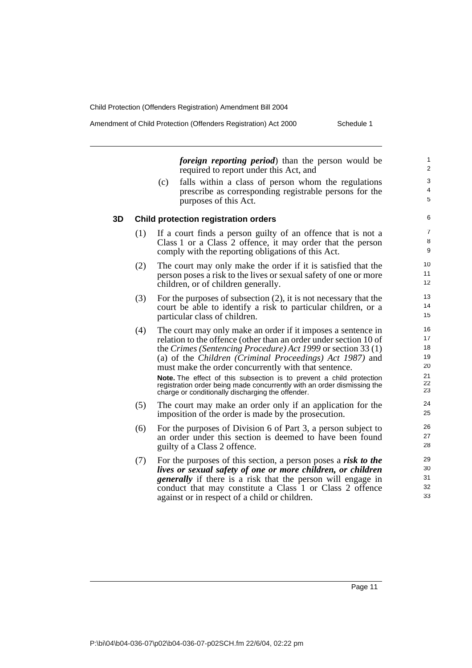Amendment of Child Protection (Offenders Registration) Act 2000 Schedule 1

*foreign reporting period*) than the person would be required to report under this Act, and

(c) falls within a class of person whom the regulations prescribe as corresponding registrable persons for the purposes of this Act.

#### **3D Child protection registration orders**

- (1) If a court finds a person guilty of an offence that is not a Class 1 or a Class 2 offence, it may order that the person comply with the reporting obligations of this Act.
- (2) The court may only make the order if it is satisfied that the person poses a risk to the lives or sexual safety of one or more children, or of children generally.
- (3) For the purposes of subsection (2), it is not necessary that the court be able to identify a risk to particular children, or a particular class of children.
- (4) The court may only make an order if it imposes a sentence in relation to the offence (other than an order under section 10 of the *Crimes (Sentencing Procedure) Act 1999* or section 33 (1) (a) of the *Children (Criminal Proceedings) Act 1987)* and must make the order concurrently with that sentence. **Note.** The effect of this subsection is to prevent a child protection

registration order being made concurrently with an order dismissing the charge or conditionally discharging the offender.

- (5) The court may make an order only if an application for the imposition of the order is made by the prosecution.
- (6) For the purposes of Division 6 of Part 3, a person subject to an order under this section is deemed to have been found guilty of a Class 2 offence.
- (7) For the purposes of this section, a person poses a *risk to the lives or sexual safety of one or more children, or children generally* if there is a risk that the person will engage in conduct that may constitute a Class 1 or Class 2 offence against or in respect of a child or children.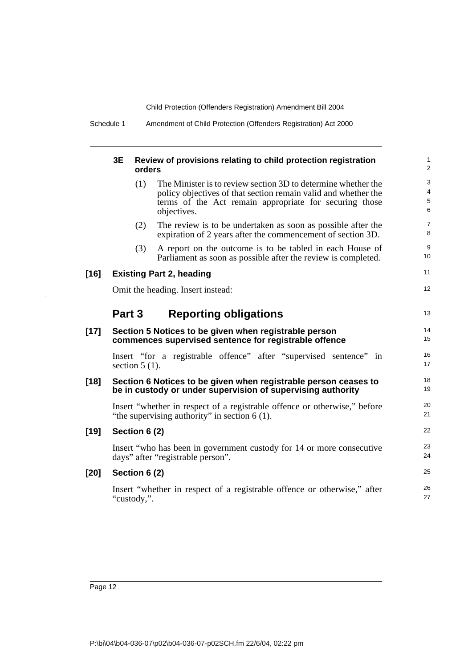Schedule 1 Amendment of Child Protection (Offenders Registration) Act 2000

|        | 3E               | orders | Review of provisions relating to child protection registration                                                                                                                                           | 1<br>$\overline{2}$ |
|--------|------------------|--------|----------------------------------------------------------------------------------------------------------------------------------------------------------------------------------------------------------|---------------------|
|        |                  | (1)    | The Minister is to review section 3D to determine whether the<br>policy objectives of that section remain valid and whether the<br>terms of the Act remain appropriate for securing those<br>objectives. | 3<br>4<br>5<br>6    |
|        |                  | (2)    | The review is to be undertaken as soon as possible after the<br>expiration of 2 years after the commencement of section 3D.                                                                              | $\overline{7}$<br>8 |
|        |                  | (3)    | A report on the outcome is to be tabled in each House of<br>Parliament as soon as possible after the review is completed.                                                                                | 9<br>10             |
| $[16]$ |                  |        | <b>Existing Part 2, heading</b>                                                                                                                                                                          | 11                  |
|        |                  |        | Omit the heading. Insert instead:                                                                                                                                                                        | 12                  |
|        | Part 3           |        | <b>Reporting obligations</b>                                                                                                                                                                             | 13                  |
| $[17]$ |                  |        | Section 5 Notices to be given when registrable person<br>commences supervised sentence for registrable offence                                                                                           | 14<br>15            |
|        | section $5(1)$ . |        | Insert "for a registrable offence" after "supervised sentence" in                                                                                                                                        | 16<br>17            |
| $[18]$ |                  |        | Section 6 Notices to be given when registrable person ceases to<br>be in custody or under supervision of supervising authority                                                                           | 18<br>19            |
|        |                  |        | Insert "whether in respect of a registrable offence or otherwise," before<br>"the supervising authority" in section $6(1)$ .                                                                             | 20<br>21            |
| $[19]$ | Section 6 (2)    |        |                                                                                                                                                                                                          | 22                  |
|        |                  |        | Insert "who has been in government custody for 14 or more consecutive<br>days" after "registrable person".                                                                                               | 23<br>24            |
| $[20]$ | Section 6 (2)    |        |                                                                                                                                                                                                          | 25                  |
|        | "custody,".      |        | Insert "whether in respect of a registrable offence or otherwise," after                                                                                                                                 | 26<br>27            |
|        |                  |        |                                                                                                                                                                                                          |                     |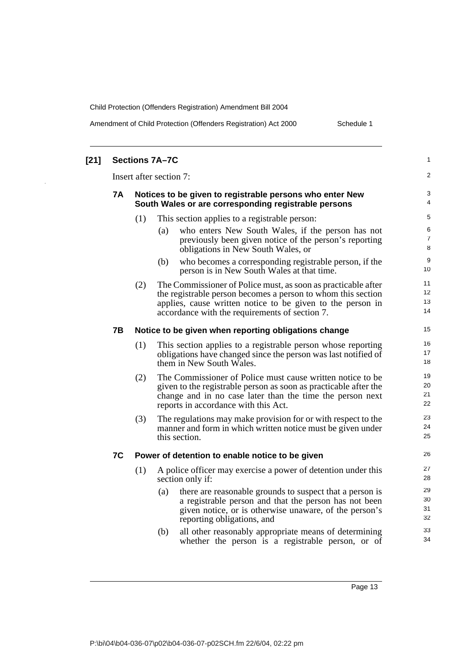Amendment of Child Protection (Offenders Registration) Act 2000 Schedule 1

| $[21]$ |           |     | <b>Sections 7A-7C</b>                                                                                                                                                                                                                         | 1                    |
|--------|-----------|-----|-----------------------------------------------------------------------------------------------------------------------------------------------------------------------------------------------------------------------------------------------|----------------------|
|        |           |     | Insert after section 7:                                                                                                                                                                                                                       | 2                    |
|        | <b>7A</b> |     | Notices to be given to registrable persons who enter New<br>South Wales or are corresponding registrable persons                                                                                                                              | 3<br>4               |
|        |           | (1) | This section applies to a registrable person:                                                                                                                                                                                                 | 5                    |
|        |           |     | who enters New South Wales, if the person has not<br>(a)<br>previously been given notice of the person's reporting<br>obligations in New South Wales, or                                                                                      | 6<br>7<br>8          |
|        |           |     | (b)<br>who becomes a corresponding registrable person, if the<br>person is in New South Wales at that time.                                                                                                                                   | 9<br>10              |
|        |           | (2) | The Commissioner of Police must, as soon as practicable after<br>the registrable person becomes a person to whom this section<br>applies, cause written notice to be given to the person in<br>accordance with the requirements of section 7. | 11<br>12<br>13<br>14 |
|        | <b>7B</b> |     | Notice to be given when reporting obligations change                                                                                                                                                                                          | 15                   |
|        |           | (1) | This section applies to a registrable person whose reporting<br>obligations have changed since the person was last notified of<br>them in New South Wales.                                                                                    | 16<br>17<br>18       |
|        |           | (2) | The Commissioner of Police must cause written notice to be.<br>given to the registrable person as soon as practicable after the<br>change and in no case later than the time the person next<br>reports in accordance with this Act.          | 19<br>20<br>21<br>22 |
|        |           | (3) | The regulations may make provision for or with respect to the<br>manner and form in which written notice must be given under<br>this section.                                                                                                 | 23<br>24<br>25       |
|        | 7C        |     | Power of detention to enable notice to be given                                                                                                                                                                                               | 26                   |
|        |           | (1) | A police officer may exercise a power of detention under this<br>section only if:                                                                                                                                                             | 27<br>28             |
|        |           |     | there are reasonable grounds to suspect that a person is<br>(a)<br>a registrable person and that the person has not been<br>given notice, or is otherwise unaware, of the person's<br>reporting obligations, and                              | 29<br>30<br>31<br>32 |
|        |           |     | all other reasonably appropriate means of determining<br>(b)<br>whether the person is a registrable person, or of                                                                                                                             | 33<br>34             |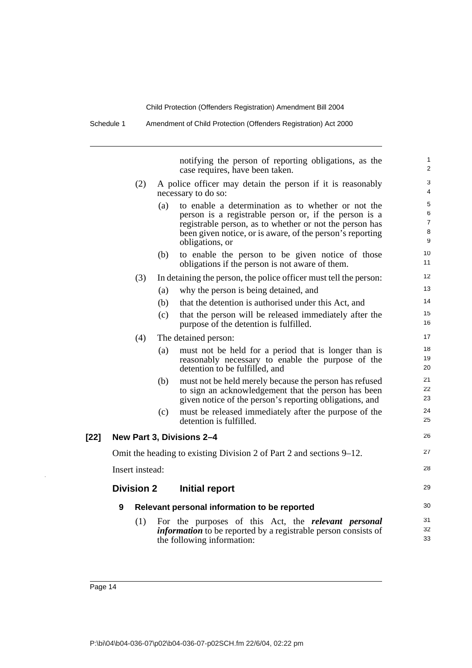Schedule 1 Amendment of Child Protection (Offenders Registration) Act 2000

notifying the person of reporting obligations, as the case requires, have been taken.

1 2 3

(2) A police officer may detain the person if it is reasonably necessary to do so:

|        |                   |     | necessary to do so:                                                                                                                                                                                                                                    | 4                                                |
|--------|-------------------|-----|--------------------------------------------------------------------------------------------------------------------------------------------------------------------------------------------------------------------------------------------------------|--------------------------------------------------|
|        |                   | (a) | to enable a determination as to whether or not the<br>person is a registrable person or, if the person is a<br>registrable person, as to whether or not the person has<br>been given notice, or is aware, of the person's reporting<br>obligations, or | $\sqrt{5}$<br>6<br>$\overline{7}$<br>$\bf8$<br>9 |
|        |                   | (b) | to enable the person to be given notice of those<br>obligations if the person is not aware of them.                                                                                                                                                    | 10<br>11                                         |
|        | (3)               |     | In detaining the person, the police officer must tell the person:                                                                                                                                                                                      | 12                                               |
|        |                   | (a) | why the person is being detained, and                                                                                                                                                                                                                  | 13                                               |
|        |                   | (b) | that the detention is authorised under this Act, and                                                                                                                                                                                                   | 14                                               |
|        |                   | (c) | that the person will be released immediately after the<br>purpose of the detention is fulfilled.                                                                                                                                                       | 15<br>16                                         |
|        | (4)               |     | The detained person:                                                                                                                                                                                                                                   | 17                                               |
|        |                   | (a) | must not be held for a period that is longer than is<br>reasonably necessary to enable the purpose of the<br>detention to be fulfilled, and                                                                                                            | 18<br>19<br>20                                   |
|        |                   | (b) | must not be held merely because the person has refused<br>to sign an acknowledgement that the person has been<br>given notice of the person's reporting obligations, and                                                                               | 21<br>22<br>23                                   |
|        |                   | (c) | must be released immediately after the purpose of the<br>detention is fulfilled.                                                                                                                                                                       | 24<br>25                                         |
| $[22]$ |                   |     | New Part 3, Divisions 2-4                                                                                                                                                                                                                              | 26                                               |
|        |                   |     | Omit the heading to existing Division 2 of Part 2 and sections 9–12.                                                                                                                                                                                   | 27                                               |
|        | Insert instead:   |     |                                                                                                                                                                                                                                                        | 28                                               |
|        | <b>Division 2</b> |     | Initial report                                                                                                                                                                                                                                         | 29                                               |
|        | 9                 |     | Relevant personal information to be reported                                                                                                                                                                                                           | 30                                               |
|        | (1)               |     | For the purposes of this Act, the <i>relevant</i> personal<br><i>information</i> to be reported by a registrable person consists of<br>the following information:                                                                                      | 31<br>32<br>33                                   |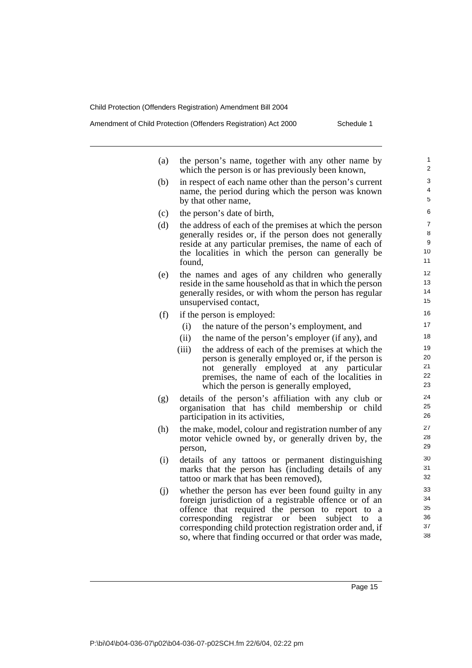Amendment of Child Protection (Offenders Registration) Act 2000 Schedule 1

(a) the person's name, together with any other name by which the person is or has previously been known, (b) in respect of each name other than the person's current name, the period during which the person was known by that other name, (c) the person's date of birth, (d) the address of each of the premises at which the person generally resides or, if the person does not generally reside at any particular premises, the name of each of the localities in which the person can generally be found, (e) the names and ages of any children who generally reside in the same household as that in which the person generally resides, or with whom the person has regular unsupervised contact, (f) if the person is employed: (i) the nature of the person's employment, and (ii) the name of the person's employer (if any), and (iii) the address of each of the premises at which the person is generally employed or, if the person is not generally employed at any particular premises, the name of each of the localities in which the person is generally employed, (g) details of the person's affiliation with any club or organisation that has child membership or child participation in its activities, (h) the make, model, colour and registration number of any motor vehicle owned by, or generally driven by, the person, (i) details of any tattoos or permanent distinguishing marks that the person has (including details of any tattoo or mark that has been removed), (j) whether the person has ever been found guilty in any foreign jurisdiction of a registrable offence or of an offence that required the person to report to a corresponding registrar or been subject to a corresponding child protection registration order and, if so, where that finding occurred or that order was made,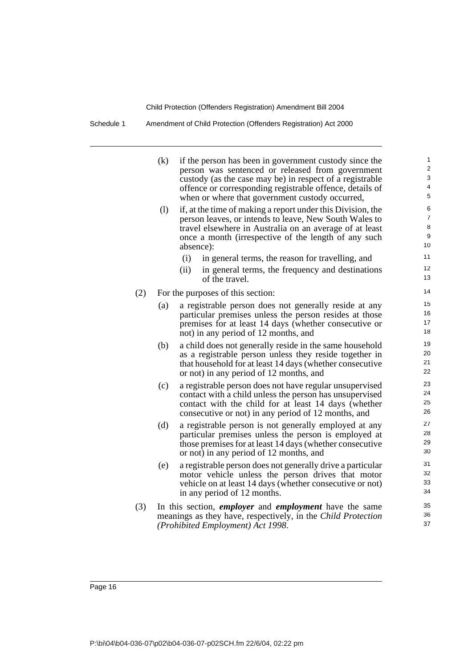Schedule 1 Amendment of Child Protection (Offenders Registration) Act 2000

|     | (k) | if the person has been in government custody since the<br>person was sentenced or released from government<br>custody (as the case may be) in respect of a registrable                                                                                | 1<br>$\overline{2}$<br>3            |
|-----|-----|-------------------------------------------------------------------------------------------------------------------------------------------------------------------------------------------------------------------------------------------------------|-------------------------------------|
|     |     | offence or corresponding registrable offence, details of<br>when or where that government custody occurred,                                                                                                                                           | 4<br>5                              |
|     | (1) | if, at the time of making a report under this Division, the<br>person leaves, or intends to leave, New South Wales to<br>travel elsewhere in Australia on an average of at least<br>once a month (irrespective of the length of any such<br>absence): | 6<br>$\overline{7}$<br>8<br>9<br>10 |
|     |     | (i)<br>in general terms, the reason for travelling, and<br>in general terms, the frequency and destinations<br>(ii)<br>of the travel.                                                                                                                 | 11<br>12<br>13                      |
| (2) |     | For the purposes of this section:                                                                                                                                                                                                                     | 14                                  |
|     | (a) | a registrable person does not generally reside at any<br>particular premises unless the person resides at those<br>premises for at least 14 days (whether consecutive or<br>not) in any period of 12 months, and                                      | 15<br>16<br>17<br>18                |
|     | (b) | a child does not generally reside in the same household<br>as a registrable person unless they reside together in<br>that household for at least 14 days (whether consecutive<br>or not) in any period of 12 months, and                              | 19<br>20<br>21<br>22                |
|     | (c) | a registrable person does not have regular unsupervised<br>contact with a child unless the person has unsupervised<br>contact with the child for at least 14 days (whether<br>consecutive or not) in any period of 12 months, and                     | 23<br>24<br>25<br>26                |
|     | (d) | a registrable person is not generally employed at any<br>particular premises unless the person is employed at<br>those premises for at least 14 days (whether consecutive<br>or not) in any period of 12 months, and                                  | 27<br>28<br>29<br>30                |
|     | (e) | a registrable person does not generally drive a particular<br>motor vehicle unless the person drives that motor<br>vehicle on at least 14 days (whether consecutive or not)<br>in any period of 12 months.                                            | 31<br>32<br>33<br>34                |
| (3) |     | In this section, <i>employer</i> and <i>employment</i> have the same<br>meanings as they have, respectively, in the Child Protection<br>(Prohibited Employment) Act 1998.                                                                             | 35<br>36<br>37                      |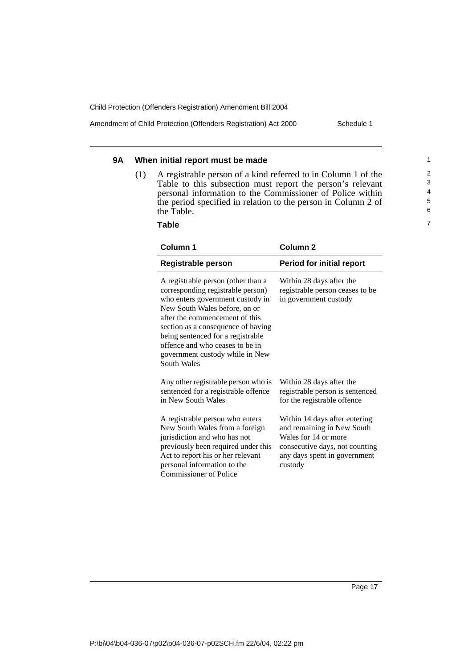Amendment of Child Protection (Offenders Registration) Act 2000 Schedule 1

## **9A When initial report must be made**

(1) A registrable person of a kind referred to in Column 1 of the Table to this subsection must report the person's relevant personal information to the Commissioner of Police within the period specified in relation to the person in Column 2 of the Table.

**Table**

| Column 1                                                                                                                                                                                                                                                                                                                                       | Column <sub>2</sub>                                                                                                                                              |
|------------------------------------------------------------------------------------------------------------------------------------------------------------------------------------------------------------------------------------------------------------------------------------------------------------------------------------------------|------------------------------------------------------------------------------------------------------------------------------------------------------------------|
| Registrable person                                                                                                                                                                                                                                                                                                                             | <b>Period for initial report</b>                                                                                                                                 |
| A registrable person (other than a<br>corresponding registrable person)<br>who enters government custody in<br>New South Wales before, on or<br>after the commencement of this<br>section as a consequence of having<br>being sentenced for a registrable<br>offence and who ceases to be in<br>government custody while in New<br>South Wales | Within 28 days after the<br>registrable person ceases to be<br>in government custody                                                                             |
| Any other registrable person who is<br>sentenced for a registrable offence<br>in New South Wales                                                                                                                                                                                                                                               | Within 28 days after the<br>registrable person is sentenced<br>for the registrable offence                                                                       |
| A registrable person who enters<br>New South Wales from a foreign<br>jurisdiction and who has not<br>previously been required under this<br>Act to report his or her relevant<br>personal information to the<br><b>Commissioner of Police</b>                                                                                                  | Within 14 days after entering<br>and remaining in New South<br>Wales for 14 or more<br>consecutive days, not counting<br>any days spent in government<br>custody |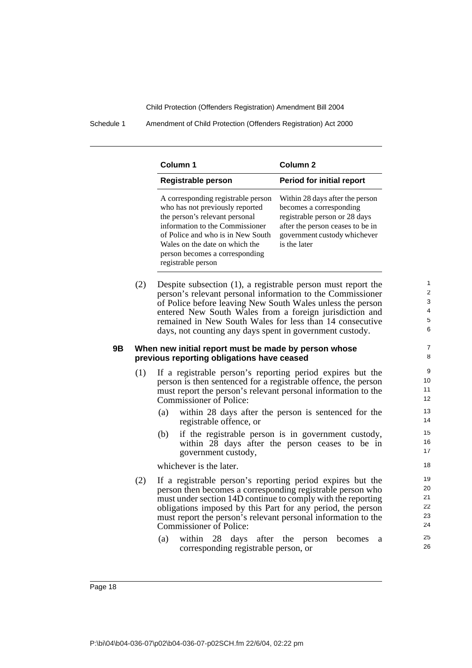Schedule 1 Amendment of Child Protection (Offenders Registration) Act 2000

| Column 1                                                                                                                                                                                                                                                                  | Column <sub>2</sub>                                                                                                                                                             |
|---------------------------------------------------------------------------------------------------------------------------------------------------------------------------------------------------------------------------------------------------------------------------|---------------------------------------------------------------------------------------------------------------------------------------------------------------------------------|
| Registrable person                                                                                                                                                                                                                                                        | <b>Period for initial report</b>                                                                                                                                                |
| A corresponding registrable person<br>who has not previously reported<br>the person's relevant personal<br>information to the Commissioner<br>of Police and who is in New South<br>Wales on the date on which the<br>person becomes a corresponding<br>registrable person | Within 28 days after the person<br>becomes a corresponding<br>registrable person or 28 days<br>after the person ceases to be in<br>government custody whichever<br>is the later |

(2) Despite subsection (1), a registrable person must report the person's relevant personal information to the Commissioner of Police before leaving New South Wales unless the person entered New South Wales from a foreign jurisdiction and remained in New South Wales for less than 14 consecutive days, not counting any days spent in government custody.

### **9B When new initial report must be made by person whose previous reporting obligations have ceased**

- (1) If a registrable person's reporting period expires but the person is then sentenced for a registrable offence, the person must report the person's relevant personal information to the Commissioner of Police:
	- (a) within 28 days after the person is sentenced for the registrable offence, or
	- (b) if the registrable person is in government custody, within 28 days after the person ceases to be in government custody,

whichever is the later.

- (2) If a registrable person's reporting period expires but the person then becomes a corresponding registrable person who must under section 14D continue to comply with the reporting obligations imposed by this Part for any period, the person must report the person's relevant personal information to the Commissioner of Police:
	- (a) within 28 days after the person becomes a corresponding registrable person, or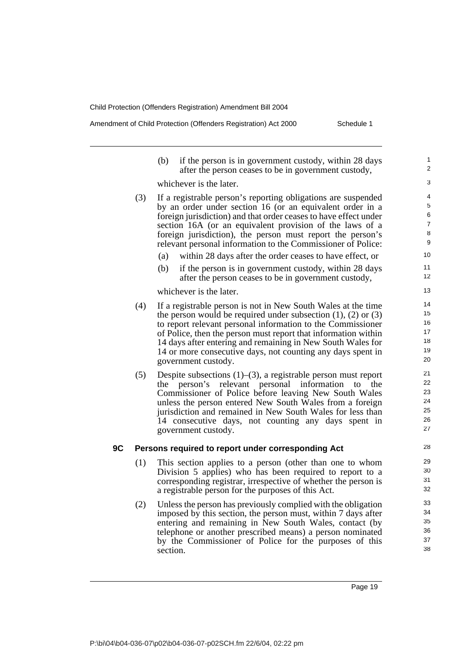Amendment of Child Protection (Offenders Registration) Act 2000 Schedule 1

|    |     | (b)<br>if the person is in government custody, within 28 days<br>after the person ceases to be in government custody,                                                                                                                                                                                                                                                                                  | 1<br>$\overline{2}$                     |
|----|-----|--------------------------------------------------------------------------------------------------------------------------------------------------------------------------------------------------------------------------------------------------------------------------------------------------------------------------------------------------------------------------------------------------------|-----------------------------------------|
|    |     | whichever is the later.                                                                                                                                                                                                                                                                                                                                                                                | 3                                       |
|    | (3) | If a registrable person's reporting obligations are suspended<br>by an order under section 16 (or an equivalent order in a<br>foreign jurisdiction) and that order ceases to have effect under<br>section 16A (or an equivalent provision of the laws of a<br>foreign jurisdiction), the person must report the person's<br>relevant personal information to the Commissioner of Police:               | 4<br>5<br>6<br>$\overline{7}$<br>8<br>9 |
|    |     | within 28 days after the order ceases to have effect, or<br>(a)                                                                                                                                                                                                                                                                                                                                        | 10                                      |
|    |     | (b)<br>if the person is in government custody, within 28 days<br>after the person ceases to be in government custody,                                                                                                                                                                                                                                                                                  | 11<br>12                                |
|    |     | whichever is the later.                                                                                                                                                                                                                                                                                                                                                                                | 13                                      |
|    | (4) | If a registrable person is not in New South Wales at the time                                                                                                                                                                                                                                                                                                                                          | 14<br>15                                |
|    |     | the person would be required under subsection $(1)$ , $(2)$ or $(3)$<br>to report relevant personal information to the Commissioner                                                                                                                                                                                                                                                                    | 16                                      |
|    |     | of Police, then the person must report that information within                                                                                                                                                                                                                                                                                                                                         | 17                                      |
|    |     | 14 days after entering and remaining in New South Wales for                                                                                                                                                                                                                                                                                                                                            | 18                                      |
|    |     | 14 or more consecutive days, not counting any days spent in<br>government custody.                                                                                                                                                                                                                                                                                                                     | 19<br>20                                |
|    | (5) | Despite subsections $(1)$ – $(3)$ , a registrable person must report<br>person's relevant personal<br>information<br>to<br>the<br>the<br>Commissioner of Police before leaving New South Wales<br>unless the person entered New South Wales from a foreign<br>jurisdiction and remained in New South Wales for less than<br>14 consecutive days, not counting any days spent in<br>government custody. | 21<br>22<br>23<br>24<br>25<br>26<br>27  |
| 9C |     | Persons required to report under corresponding Act                                                                                                                                                                                                                                                                                                                                                     | 28                                      |
|    | (1) | This section applies to a person (other than one to whom<br>Division 5 applies) who has been required to report to a<br>corresponding registrar, irrespective of whether the person is<br>a registrable person for the purposes of this Act.                                                                                                                                                           | 29<br>30<br>31<br>32                    |
|    | (2) | Unless the person has previously complied with the obligation<br>imposed by this section, the person must, within 7 days after<br>entering and remaining in New South Wales, contact (by<br>telephone or another prescribed means) a person nominated<br>by the Commissioner of Police for the purposes of this<br>section.                                                                            | 33<br>34<br>35<br>36<br>37<br>38        |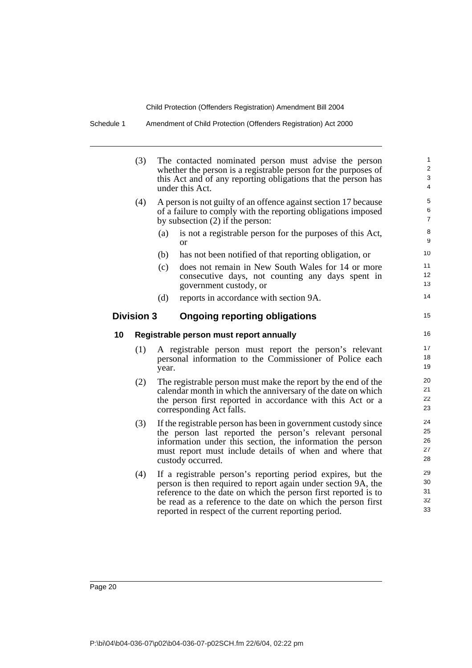| (3)                                                             |     |                                                                                                                                 | 1<br>$\overline{\mathbf{c}}$<br>3<br>4                                                                                                                                                                                                                                                                                                                                                                                                                                                                                                                                                                                                                                                                                                                                                                                                                                                                                                                                                                                                                                                                                                                                                                                                                                                                                                                                                         |  |
|-----------------------------------------------------------------|-----|---------------------------------------------------------------------------------------------------------------------------------|------------------------------------------------------------------------------------------------------------------------------------------------------------------------------------------------------------------------------------------------------------------------------------------------------------------------------------------------------------------------------------------------------------------------------------------------------------------------------------------------------------------------------------------------------------------------------------------------------------------------------------------------------------------------------------------------------------------------------------------------------------------------------------------------------------------------------------------------------------------------------------------------------------------------------------------------------------------------------------------------------------------------------------------------------------------------------------------------------------------------------------------------------------------------------------------------------------------------------------------------------------------------------------------------------------------------------------------------------------------------------------------------|--|
| (4)                                                             |     |                                                                                                                                 | 5<br>6<br>$\overline{7}$                                                                                                                                                                                                                                                                                                                                                                                                                                                                                                                                                                                                                                                                                                                                                                                                                                                                                                                                                                                                                                                                                                                                                                                                                                                                                                                                                                       |  |
|                                                                 | (a) | is not a registrable person for the purposes of this Act,<br><b>or</b>                                                          | 8<br>9                                                                                                                                                                                                                                                                                                                                                                                                                                                                                                                                                                                                                                                                                                                                                                                                                                                                                                                                                                                                                                                                                                                                                                                                                                                                                                                                                                                         |  |
|                                                                 | (b) | has not been notified of that reporting obligation, or                                                                          | 10                                                                                                                                                                                                                                                                                                                                                                                                                                                                                                                                                                                                                                                                                                                                                                                                                                                                                                                                                                                                                                                                                                                                                                                                                                                                                                                                                                                             |  |
|                                                                 | (c) | does not remain in New South Wales for 14 or more<br>consecutive days, not counting any days spent in<br>government custody, or | 11<br>12<br>13                                                                                                                                                                                                                                                                                                                                                                                                                                                                                                                                                                                                                                                                                                                                                                                                                                                                                                                                                                                                                                                                                                                                                                                                                                                                                                                                                                                 |  |
|                                                                 | (d) | reports in accordance with section 9A.                                                                                          | 14                                                                                                                                                                                                                                                                                                                                                                                                                                                                                                                                                                                                                                                                                                                                                                                                                                                                                                                                                                                                                                                                                                                                                                                                                                                                                                                                                                                             |  |
| 15<br><b>Division 3</b><br><b>Ongoing reporting obligations</b> |     |                                                                                                                                 |                                                                                                                                                                                                                                                                                                                                                                                                                                                                                                                                                                                                                                                                                                                                                                                                                                                                                                                                                                                                                                                                                                                                                                                                                                                                                                                                                                                                |  |
|                                                                 |     |                                                                                                                                 | 16                                                                                                                                                                                                                                                                                                                                                                                                                                                                                                                                                                                                                                                                                                                                                                                                                                                                                                                                                                                                                                                                                                                                                                                                                                                                                                                                                                                             |  |
| (1)                                                             |     |                                                                                                                                 | 17<br>18<br>19                                                                                                                                                                                                                                                                                                                                                                                                                                                                                                                                                                                                                                                                                                                                                                                                                                                                                                                                                                                                                                                                                                                                                                                                                                                                                                                                                                                 |  |
| (2)                                                             |     |                                                                                                                                 | 20<br>21<br>22<br>23                                                                                                                                                                                                                                                                                                                                                                                                                                                                                                                                                                                                                                                                                                                                                                                                                                                                                                                                                                                                                                                                                                                                                                                                                                                                                                                                                                           |  |
| (3)                                                             |     |                                                                                                                                 | 24<br>25<br>26<br>27<br>28                                                                                                                                                                                                                                                                                                                                                                                                                                                                                                                                                                                                                                                                                                                                                                                                                                                                                                                                                                                                                                                                                                                                                                                                                                                                                                                                                                     |  |
| (4)                                                             |     |                                                                                                                                 | 29<br>30<br>31<br>32<br>33                                                                                                                                                                                                                                                                                                                                                                                                                                                                                                                                                                                                                                                                                                                                                                                                                                                                                                                                                                                                                                                                                                                                                                                                                                                                                                                                                                     |  |
|                                                                 |     |                                                                                                                                 | The contacted nominated person must advise the person<br>whether the person is a registrable person for the purposes of<br>this Act and of any reporting obligations that the person has<br>under this Act.<br>A person is not guilty of an offence against section 17 because<br>of a failure to comply with the reporting obligations imposed<br>by subsection $(2)$ if the person:<br>Registrable person must report annually<br>A registrable person must report the person's relevant<br>personal information to the Commissioner of Police each<br>year.<br>The registrable person must make the report by the end of the<br>calendar month in which the anniversary of the date on which<br>the person first reported in accordance with this Act or a<br>corresponding Act falls.<br>If the registrable person has been in government custody since<br>the person last reported the person's relevant personal<br>information under this section, the information the person<br>must report must include details of when and where that<br>custody occurred.<br>If a registrable person's reporting period expires, but the<br>person is then required to report again under section 9A, the<br>reference to the date on which the person first reported is to<br>be read as a reference to the date on which the person first<br>reported in respect of the current reporting period. |  |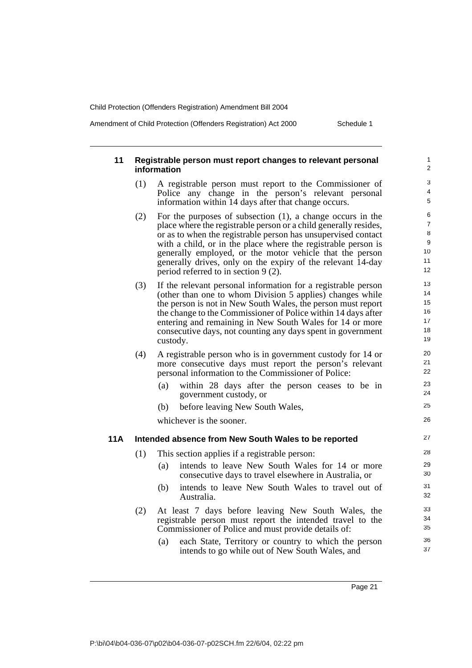Amendment of Child Protection (Offenders Registration) Act 2000 Schedule 1

| 11  | Registrable person must report changes to relevant personal<br>information |                                                                                                                                |          |  |
|-----|----------------------------------------------------------------------------|--------------------------------------------------------------------------------------------------------------------------------|----------|--|
|     | (1)                                                                        | A registrable person must report to the Commissioner of                                                                        | 3        |  |
|     |                                                                            | Police any change in the person's relevant personal<br>information within 14 days after that change occurs.                    | 4<br>5   |  |
|     | (2)                                                                        | For the purposes of subsection $(1)$ , a change occurs in the                                                                  | 6        |  |
|     |                                                                            | place where the registrable person or a child generally resides,                                                               | 7<br>8   |  |
|     |                                                                            | or as to when the registrable person has unsupervised contact<br>with a child, or in the place where the registrable person is | 9        |  |
|     |                                                                            | generally employed, or the motor vehicle that the person                                                                       | 10       |  |
|     |                                                                            | generally drives, only on the expiry of the relevant 14-day                                                                    | 11       |  |
|     |                                                                            | period referred to in section $9(2)$ .                                                                                         | 12       |  |
|     | (3)                                                                        | If the relevant personal information for a registrable person                                                                  | 13       |  |
|     |                                                                            | (other than one to whom Division 5 applies) changes while                                                                      | 14       |  |
|     |                                                                            | the person is not in New South Wales, the person must report                                                                   | 15<br>16 |  |
|     |                                                                            | the change to the Commissioner of Police within 14 days after<br>entering and remaining in New South Wales for 14 or more      | 17       |  |
|     |                                                                            | consecutive days, not counting any days spent in government                                                                    | 18       |  |
|     |                                                                            | custody.                                                                                                                       | 19       |  |
|     | (4)                                                                        | A registrable person who is in government custody for 14 or                                                                    | 20       |  |
|     |                                                                            | more consecutive days must report the person's relevant                                                                        | 21       |  |
|     |                                                                            | personal information to the Commissioner of Police:                                                                            | 22       |  |
|     |                                                                            | within 28 days after the person ceases to be in<br>(a)<br>government custody, or                                               | 23<br>24 |  |
|     |                                                                            | before leaving New South Wales,<br>(b)                                                                                         | 25       |  |
|     |                                                                            | whichever is the sooner.                                                                                                       | 26       |  |
| 11A |                                                                            | Intended absence from New South Wales to be reported                                                                           | 27       |  |
|     | (1)                                                                        | This section applies if a registrable person:                                                                                  | 28       |  |
|     |                                                                            | intends to leave New South Wales for 14 or more<br>(a)<br>consecutive days to travel elsewhere in Australia, or                | 29<br>30 |  |
|     |                                                                            | intends to leave New South Wales to travel out of<br>(b)                                                                       | 31       |  |
|     |                                                                            | Australia.                                                                                                                     | 32       |  |
|     | (2)                                                                        | At least 7 days before leaving New South Wales, the                                                                            | 33       |  |
|     |                                                                            | registrable person must report the intended travel to the                                                                      | 34       |  |
|     |                                                                            | Commissioner of Police and must provide details of:                                                                            | 35       |  |
|     |                                                                            | (a)<br>each State, Territory or country to which the person                                                                    | 36       |  |
|     |                                                                            | intends to go while out of New South Wales, and                                                                                | 37       |  |
|     |                                                                            |                                                                                                                                |          |  |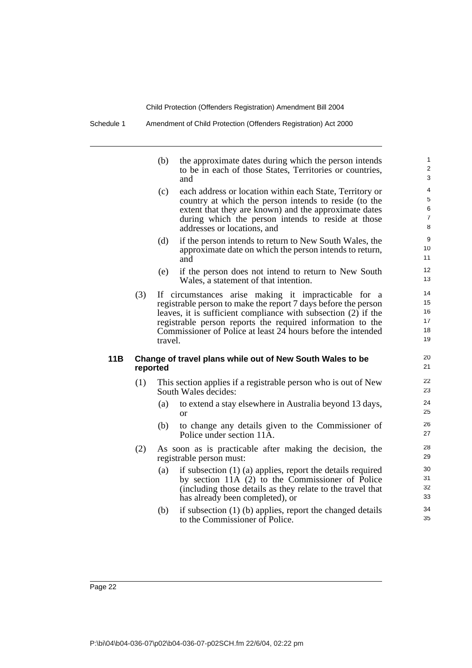Schedule 1 Amendment of Child Protection (Offenders Registration) Act 2000

|     |          | (b)     | the approximate dates during which the person intends<br>to be in each of those States, Territories or countries,<br>and                                                                                                                                                                                               | $\mathbf{1}$<br>$\overline{2}$<br>3 |
|-----|----------|---------|------------------------------------------------------------------------------------------------------------------------------------------------------------------------------------------------------------------------------------------------------------------------------------------------------------------------|-------------------------------------|
|     |          | (c)     | each address or location within each State, Territory or<br>country at which the person intends to reside (to the<br>extent that they are known) and the approximate dates<br>during which the person intends to reside at those<br>addresses or locations, and                                                        | 4<br>5<br>6<br>$\overline{7}$<br>8  |
|     |          | (d)     | if the person intends to return to New South Wales, the<br>approximate date on which the person intends to return,<br>and                                                                                                                                                                                              | 9<br>10<br>11                       |
|     |          | (e)     | if the person does not intend to return to New South<br>Wales, a statement of that intention.                                                                                                                                                                                                                          | 12<br>13                            |
|     | (3)      | travel. | If circumstances arise making it impracticable for a<br>registrable person to make the report 7 days before the person<br>leaves, it is sufficient compliance with subsection (2) if the<br>registrable person reports the required information to the<br>Commissioner of Police at least 24 hours before the intended | 14<br>15<br>16<br>17<br>18<br>19    |
| 11B | reported |         | Change of travel plans while out of New South Wales to be                                                                                                                                                                                                                                                              | 20<br>21                            |
|     | (1)      |         | This section applies if a registrable person who is out of New<br>South Wales decides:                                                                                                                                                                                                                                 | 22<br>23                            |
|     |          | (a)     | to extend a stay elsewhere in Australia beyond 13 days,<br>$\alpha$                                                                                                                                                                                                                                                    | 24<br>25                            |
|     |          | (b)     | to change any details given to the Commissioner of<br>Police under section 11A.                                                                                                                                                                                                                                        | 26<br>27                            |
|     | (2)      |         | As soon as is practicable after making the decision, the<br>registrable person must:                                                                                                                                                                                                                                   | 28<br>29                            |
|     |          | (a)     | if subsection $(1)$ (a) applies, report the details required<br>by section 11A (2) to the Commissioner of Police<br>(including those details as they relate to the travel that<br>has already been completed), or                                                                                                      | 30<br>31<br>32<br>33                |
|     |          | (b)     | if subsection (1) (b) applies, report the changed details                                                                                                                                                                                                                                                              | 34                                  |

35

to the Commissioner of Police.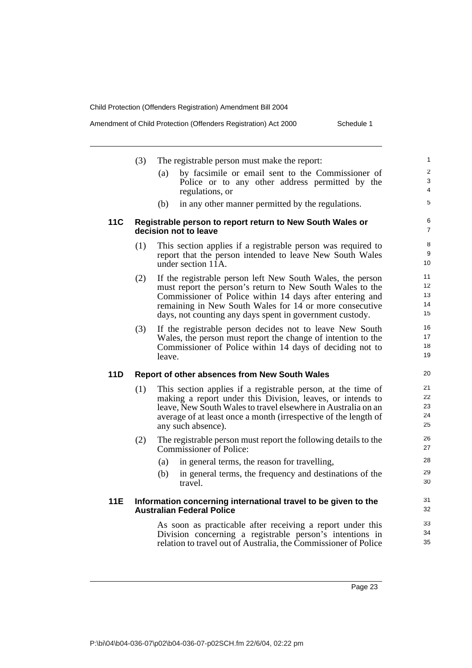| Amendment of Child Protection (Offenders Registration) Act 2000<br>Schedule 1 |  |
|-------------------------------------------------------------------------------|--|
|-------------------------------------------------------------------------------|--|

|            | (3) | The registrable person must make the report:                                                                                                                                                                                                                                                               | 1                                       |
|------------|-----|------------------------------------------------------------------------------------------------------------------------------------------------------------------------------------------------------------------------------------------------------------------------------------------------------------|-----------------------------------------|
|            |     | by facsimile or email sent to the Commissioner of<br>(a)<br>Police or to any other address permitted by the<br>regulations, or                                                                                                                                                                             | 2<br>3<br>$\overline{4}$                |
|            |     | in any other manner permitted by the regulations.<br>(b)                                                                                                                                                                                                                                                   | 5                                       |
| 11C        |     | Registrable person to report return to New South Wales or<br>decision not to leave                                                                                                                                                                                                                         | 6<br>$\overline{7}$                     |
|            | (1) | This section applies if a registrable person was required to<br>report that the person intended to leave New South Wales<br>under section 11A.                                                                                                                                                             | 8<br>9<br>10                            |
|            | (2) | If the registrable person left New South Wales, the person<br>must report the person's return to New South Wales to the<br>Commissioner of Police within 14 days after entering and<br>remaining in New South Wales for 14 or more consecutive<br>days, not counting any days spent in government custody. | 11<br>12 <sup>2</sup><br>13<br>14<br>15 |
|            | (3) | If the registrable person decides not to leave New South<br>Wales, the person must report the change of intention to the<br>Commissioner of Police within 14 days of deciding not to<br>leave.                                                                                                             | 16<br>17<br>18<br>19                    |
| 11D        |     | Report of other absences from New South Wales                                                                                                                                                                                                                                                              | 20                                      |
|            | (1) | This section applies if a registrable person, at the time of<br>making a report under this Division, leaves, or intends to<br>leave, New South Wales to travel elsewhere in Australia on an<br>average of at least once a month (irrespective of the length of<br>any such absence).                       | 21<br>22<br>23<br>24<br>25              |
|            | (2) | The registrable person must report the following details to the<br><b>Commissioner of Police:</b>                                                                                                                                                                                                          | 26<br>27                                |
|            |     | in general terms, the reason for travelling,<br>(a)                                                                                                                                                                                                                                                        | 28                                      |
|            |     | in general terms, the frequency and destinations of the<br>(b)<br>travel.                                                                                                                                                                                                                                  | 29<br>30                                |
| <b>11E</b> |     | Information concerning international travel to be given to the<br><b>Australian Federal Police</b>                                                                                                                                                                                                         | 31<br>32                                |
|            |     | As soon as practicable after receiving a report under this<br>Division concerning a registrable person's intentions in<br>relation to travel out of Australia, the Commissioner of Police                                                                                                                  | 33<br>34<br>35                          |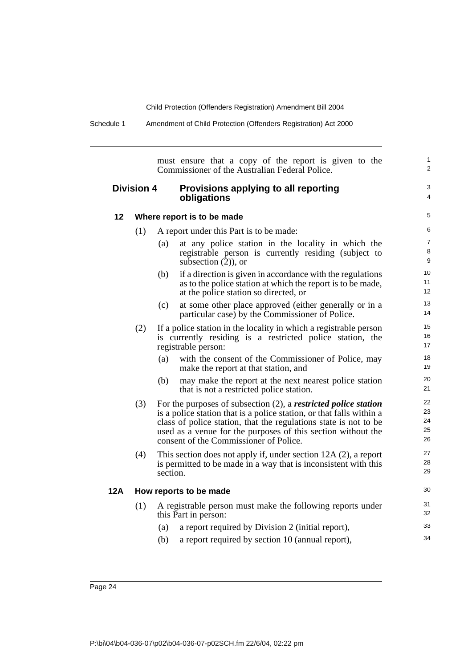Schedule 1 Amendment of Child Protection (Offenders Registration) Act 2000

must ensure that a copy of the report is given to the Commissioner of the Australian Federal Police.

### **Division 4 Provisions applying to all reporting obligations**

4 5

1  $\overline{2}$ 

3

### **12 Where report is to be made**

- (1) A report under this Part is to be made:
	- (a) at any police station in the locality in which the registrable person is currently residing (subject to subsection  $(2)$ ), or (b) if a direction is given in accordance with the regulations
	- as to the police station at which the report is to be made, at the police station so directed, or
	- (c) at some other place approved (either generally or in a particular case) by the Commissioner of Police.
- (2) If a police station in the locality in which a registrable person is currently residing is a restricted police station, the registrable person:
	- (a) with the consent of the Commissioner of Police, may make the report at that station, and
	- (b) may make the report at the next nearest police station that is not a restricted police station.
- (3) For the purposes of subsection (2), a *restricted police station* is a police station that is a police station, or that falls within a class of police station, that the regulations state is not to be used as a venue for the purposes of this section without the consent of the Commissioner of Police.
- (4) This section does not apply if, under section 12A (2), a report is permitted to be made in a way that is inconsistent with this section.

### **12A How reports to be made**

- (1) A registrable person must make the following reports under this Part in person:
	- (a) a report required by Division 2 (initial report),
	- (b) a report required by section 10 (annual report),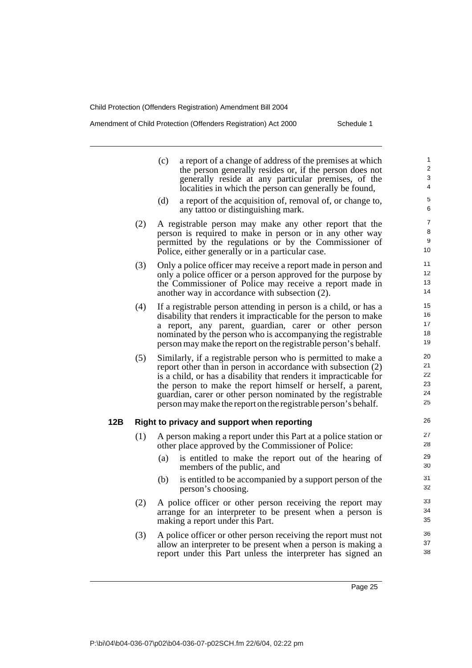Amendment of Child Protection (Offenders Registration) Act 2000 Schedule 1

| (c)<br>a report of a change of address of the premises at which<br>the person generally resides or, if the person does not<br>generally reside at any particular premises, of the<br>localities in which the person can generally be found,                                                                                                                                                                 | 1<br>$\overline{2}$<br>3<br>4    |
|-------------------------------------------------------------------------------------------------------------------------------------------------------------------------------------------------------------------------------------------------------------------------------------------------------------------------------------------------------------------------------------------------------------|----------------------------------|
| (d)<br>a report of the acquisition of, removal of, or change to,<br>any tattoo or distinguishing mark.                                                                                                                                                                                                                                                                                                      | 5<br>6                           |
| (2)<br>A registrable person may make any other report that the<br>person is required to make in person or in any other way<br>permitted by the regulations or by the Commissioner of<br>Police, either generally or in a particular case.                                                                                                                                                                   | $\overline{7}$<br>8<br>9<br>10   |
| (3)<br>Only a police officer may receive a report made in person and<br>only a police officer or a person approved for the purpose by<br>the Commissioner of Police may receive a report made in<br>another way in accordance with subsection (2).                                                                                                                                                          | 11<br>12<br>13<br>14             |
| (4)<br>If a registrable person attending in person is a child, or has a<br>disability that renders it impracticable for the person to make<br>a report, any parent, guardian, carer or other person<br>nominated by the person who is accompanying the registrable<br>person may make the report on the registrable person's behalf.                                                                        | 15<br>16<br>17<br>18<br>19       |
| (5)<br>Similarly, if a registrable person who is permitted to make a<br>report other than in person in accordance with subsection (2)<br>is a child, or has a disability that renders it impracticable for<br>the person to make the report himself or herself, a parent,<br>guardian, carer or other person nominated by the registrable<br>person may make the report on the registrable person's behalf. | 20<br>21<br>22<br>23<br>24<br>25 |
| 12B<br>Right to privacy and support when reporting                                                                                                                                                                                                                                                                                                                                                          | 26                               |
| (1)<br>A person making a report under this Part at a police station or<br>other place approved by the Commissioner of Police:                                                                                                                                                                                                                                                                               | 27<br>28                         |
| (a)<br>is entitled to make the report out of the hearing of<br>members of the public, and                                                                                                                                                                                                                                                                                                                   | 29<br>30                         |
| is entitled to be accompanied by a support person of the<br>(b)<br>person's choosing.                                                                                                                                                                                                                                                                                                                       | 31<br>32                         |
| (2)<br>A police officer or other person receiving the report may<br>arrange for an interpreter to be present when a person is<br>making a report under this Part.                                                                                                                                                                                                                                           | 33<br>34<br>35                   |
| (3)<br>A police officer or other person receiving the report must not<br>allow an interpreter to be present when a person is making a                                                                                                                                                                                                                                                                       | 36<br>37                         |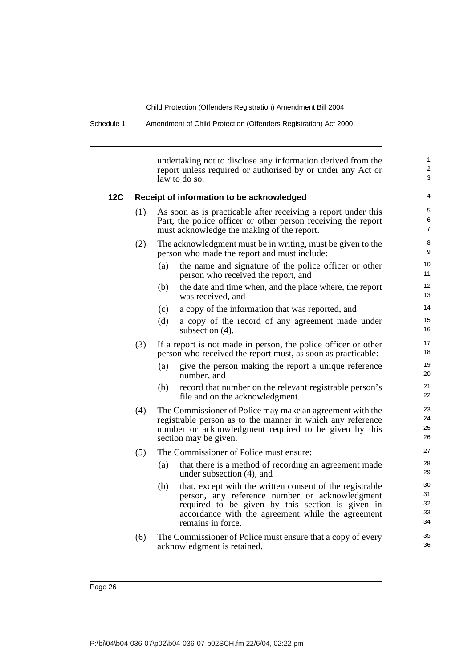Schedule 1 Amendment of Child Protection (Offenders Registration) Act 2000

undertaking not to disclose any information derived from the report unless required or authorised by or under any Act or law to do so.

1  $\overline{2}$ 3

#### **12C Receipt of information to be acknowledged**

| (1) | As soon as is practicable after receiving a report under this<br>Part, the police officer or other person receiving the report<br>must acknowledge the making of the report. |
|-----|------------------------------------------------------------------------------------------------------------------------------------------------------------------------------|
|     |                                                                                                                                                                              |
|     |                                                                                                                                                                              |

- (2) The acknowledgment must be in writing, must be given to the person who made the report and must include:
	- (a) the name and signature of the police officer or other person who received the report, and
	- (b) the date and time when, and the place where, the report was received, and
	- (c) a copy of the information that was reported, and
	- (d) a copy of the record of any agreement made under subsection (4).
- (3) If a report is not made in person, the police officer or other person who received the report must, as soon as practicable:
	- (a) give the person making the report a unique reference number, and
	- (b) record that number on the relevant registrable person's file and on the acknowledgment.
- (4) The Commissioner of Police may make an agreement with the registrable person as to the manner in which any reference number or acknowledgment required to be given by this section may be given.
- (5) The Commissioner of Police must ensure:
	- (a) that there is a method of recording an agreement made under subsection (4), and
	- (b) that, except with the written consent of the registrable person, any reference number or acknowledgment required to be given by this section is given in accordance with the agreement while the agreement remains in force.
- (6) The Commissioner of Police must ensure that a copy of every acknowledgment is retained.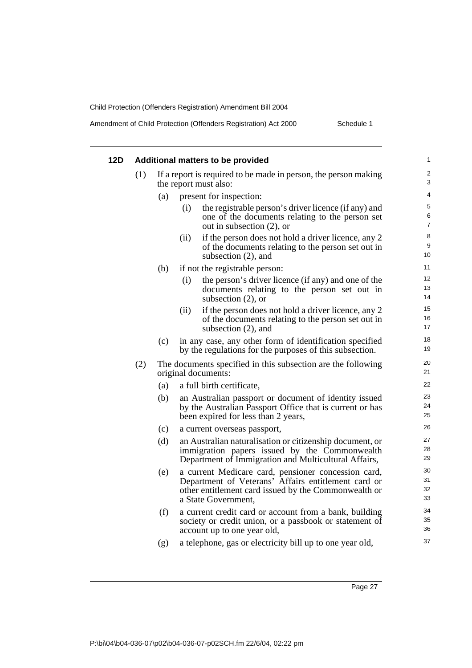| Amendment of Child Protection (Offenders Registration) Act 2000 |  |
|-----------------------------------------------------------------|--|
|                                                                 |  |

| 12D |     |     |      | Additional matters to be provided                                                                                                                                                         | 1                            |
|-----|-----|-----|------|-------------------------------------------------------------------------------------------------------------------------------------------------------------------------------------------|------------------------------|
|     | (1) |     |      | If a report is required to be made in person, the person making<br>the report must also:                                                                                                  | $\overline{\mathbf{c}}$<br>3 |
|     |     | (a) |      | present for inspection:                                                                                                                                                                   | 4                            |
|     |     |     | (i)  | the registrable person's driver licence (if any) and<br>one of the documents relating to the person set<br>out in subsection $(2)$ , or                                                   | 5<br>6<br>7                  |
|     |     |     | (ii) | if the person does not hold a driver licence, any 2<br>of the documents relating to the person set out in<br>subsection $(2)$ , and                                                       | 8<br>9<br>10                 |
|     |     | (b) |      | if not the registrable person:                                                                                                                                                            | 11                           |
|     |     |     | (i)  | the person's driver licence (if any) and one of the<br>documents relating to the person set out in<br>subsection $(2)$ , or                                                               | 12<br>13<br>14               |
|     |     |     | (ii) | if the person does not hold a driver licence, any 2<br>of the documents relating to the person set out in<br>subsection $(2)$ , and                                                       | 15<br>16<br>17               |
|     |     | (c) |      | in any case, any other form of identification specified<br>by the regulations for the purposes of this subsection.                                                                        | 18<br>19                     |
|     | (2) |     |      | The documents specified in this subsection are the following<br>original documents:                                                                                                       | 20<br>21                     |
|     |     | (a) |      | a full birth certificate,                                                                                                                                                                 | 22                           |
|     |     | (b) |      | an Australian passport or document of identity issued<br>by the Australian Passport Office that is current or has<br>been expired for less than 2 years,                                  | 23<br>24<br>25               |
|     |     | (c) |      | a current overseas passport,                                                                                                                                                              | 26                           |
|     |     | (d) |      | an Australian naturalisation or citizenship document, or<br>immigration papers issued by the Commonwealth<br>Department of Immigration and Multicultural Affairs,                         | 27<br>28<br>29               |
|     |     | (e) |      | a current Medicare card, pensioner concession card,<br>Department of Veterans' Affairs entitlement card or<br>other entitlement card issued by the Commonwealth or<br>a State Government, | 30<br>31<br>32<br>33         |
|     |     | (f) |      | a current credit card or account from a bank, building<br>society or credit union, or a passbook or statement of<br>account up to one year old,                                           | 34<br>35<br>36               |
|     |     | (g) |      | a telephone, gas or electricity bill up to one year old,                                                                                                                                  | 37                           |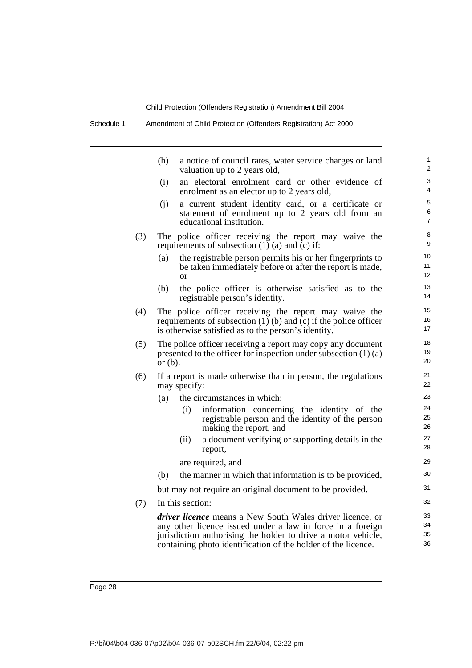Schedule 1 Amendment of Child Protection (Offenders Registration) Act 2000

|     | (h)        |                  | a notice of council rates, water service charges or land<br>valuation up to 2 years old,                                                                                                                                                                  | $\mathbf{1}$<br>2        |
|-----|------------|------------------|-----------------------------------------------------------------------------------------------------------------------------------------------------------------------------------------------------------------------------------------------------------|--------------------------|
|     | (i)        |                  | an electoral enrolment card or other evidence of<br>enrolment as an elector up to 2 years old,                                                                                                                                                            | 3<br>4                   |
|     | (i)        |                  | a current student identity card, or a certificate or<br>statement of enrolment up to 2 years old from an<br>educational institution.                                                                                                                      | 5<br>6<br>$\overline{7}$ |
| (3) |            |                  | The police officer receiving the report may waive the<br>requirements of subsection $(1)$ $(a)$ and $(c)$ if:                                                                                                                                             | 8<br>9                   |
|     | (a)        | <sub>or</sub>    | the registrable person permits his or her fingerprints to<br>be taken immediately before or after the report is made,                                                                                                                                     | 10<br>11<br>12           |
|     | (b)        |                  | the police officer is otherwise satisfied as to the<br>registrable person's identity.                                                                                                                                                                     | 13<br>14                 |
| (4) |            |                  | The police officer receiving the report may waive the<br>requirements of subsection $(1)$ (b) and $(c)$ if the police officer<br>is otherwise satisfied as to the person's identity.                                                                      | 15<br>16<br>17           |
| (5) | or $(b)$ . |                  | The police officer receiving a report may copy any document<br>presented to the officer for inspection under subsection $(1)$ $(a)$                                                                                                                       | 18<br>19<br>20           |
| (6) |            | may specify:     | If a report is made otherwise than in person, the regulations                                                                                                                                                                                             | 21<br>22                 |
|     | (a)        |                  | the circumstances in which:                                                                                                                                                                                                                               | 23                       |
|     |            | (i)              | information concerning the identity of the<br>registrable person and the identity of the person<br>making the report, and                                                                                                                                 | 24<br>25<br>26           |
|     |            | (ii)             | a document verifying or supporting details in the<br>report,                                                                                                                                                                                              | 27<br>28                 |
|     |            |                  | are required, and                                                                                                                                                                                                                                         | 29                       |
|     | (b)        |                  | the manner in which that information is to be provided,                                                                                                                                                                                                   | 30                       |
|     |            |                  | but may not require an original document to be provided.                                                                                                                                                                                                  | 31                       |
| (7) |            | In this section: |                                                                                                                                                                                                                                                           | 32                       |
|     |            |                  | driver licence means a New South Wales driver licence, or<br>any other licence issued under a law in force in a foreign<br>jurisdiction authorising the holder to drive a motor vehicle,<br>containing photo identification of the holder of the licence. | 33<br>34<br>35<br>36     |
|     |            |                  |                                                                                                                                                                                                                                                           |                          |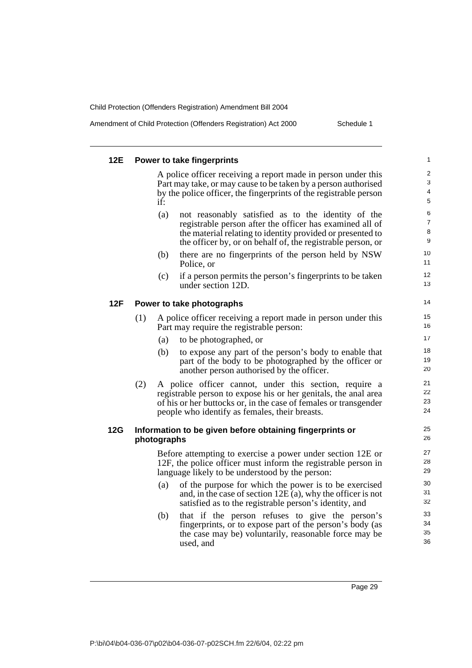Amendment of Child Protection (Offenders Registration) Act 2000 Schedule 1

| 12E |     |             | Power to take fingerprints                                                                                                          | 1                            |
|-----|-----|-------------|-------------------------------------------------------------------------------------------------------------------------------------|------------------------------|
|     |     |             | A police officer receiving a report made in person under this                                                                       | $\overline{\mathbf{c}}$<br>3 |
|     |     |             | Part may take, or may cause to be taken by a person authorised<br>by the police officer, the fingerprints of the registrable person | 4                            |
|     |     | if:         |                                                                                                                                     | 5                            |
|     |     | (a)         | not reasonably satisfied as to the identity of the                                                                                  | 6                            |
|     |     |             | registrable person after the officer has examined all of                                                                            | 7                            |
|     |     |             | the material relating to identity provided or presented to<br>the officer by, or on behalf of, the registrable person, or           | 8<br>9                       |
|     |     | (b)         | there are no fingerprints of the person held by NSW<br>Police, or                                                                   | 10<br>11                     |
|     |     | (c)         | if a person permits the person's fingerprints to be taken<br>under section 12D.                                                     | 12<br>13                     |
| 12F |     |             | Power to take photographs                                                                                                           | 14                           |
|     | (1) |             | A police officer receiving a report made in person under this<br>Part may require the registrable person:                           | 15<br>16                     |
|     |     | (a)         | to be photographed, or                                                                                                              | 17                           |
|     |     | (b)         | to expose any part of the person's body to enable that                                                                              | 18                           |
|     |     |             | part of the body to be photographed by the officer or<br>another person authorised by the officer.                                  | 19<br>20                     |
|     | (2) |             | A police officer cannot, under this section, require a                                                                              | 21                           |
|     |     |             | registrable person to expose his or her genitals, the anal area                                                                     | 22<br>23                     |
|     |     |             | of his or her buttocks or, in the case of females or transgender<br>people who identify as females, their breasts.                  | 24                           |
| 12G |     | photographs | Information to be given before obtaining fingerprints or                                                                            | 25<br>26                     |
|     |     |             | Before attempting to exercise a power under section 12E or                                                                          | 27                           |
|     |     |             | 12F, the police officer must inform the registrable person in<br>language likely to be understood by the person:                    | 28<br>29                     |
|     |     | (a)         | of the purpose for which the power is to be exercised                                                                               | 30                           |
|     |     |             | and, in the case of section $12E(a)$ , why the officer is not<br>satisfied as to the registrable person's identity, and             | 31<br>32                     |
|     |     | (b)         | that if the person refuses to give the person's                                                                                     | 33                           |
|     |     |             | fingerprints, or to expose part of the person's body (as<br>the case may be) voluntarily, reasonable force may be                   | 34<br>35                     |
|     |     |             | used, and                                                                                                                           | 36                           |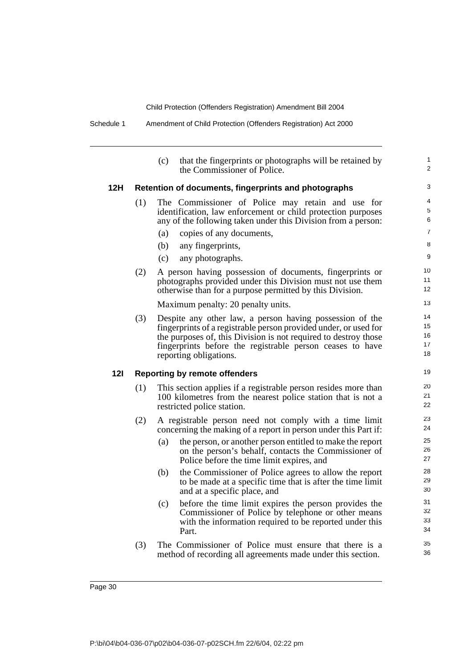(c) that the fingerprints or photographs will be retained by the Commissioner of Police. **12H Retention of documents, fingerprints and photographs** (1) The Commissioner of Police may retain and use for identification, law enforcement or child protection purposes any of the following taken under this Division from a person: (a) copies of any documents, (b) any fingerprints, (c) any photographs. (2) A person having possession of documents, fingerprints or photographs provided under this Division must not use them otherwise than for a purpose permitted by this Division. Maximum penalty: 20 penalty units. (3) Despite any other law, a person having possession of the fingerprints of a registrable person provided under, or used for the purposes of, this Division is not required to destroy those fingerprints before the registrable person ceases to have reporting obligations. **12I Reporting by remote offenders** (1) This section applies if a registrable person resides more than 100 kilometres from the nearest police station that is not a restricted police station. (2) A registrable person need not comply with a time limit concerning the making of a report in person under this Part if: (a) the person, or another person entitled to make the report on the person's behalf, contacts the Commissioner of Police before the time limit expires, and (b) the Commissioner of Police agrees to allow the report to be made at a specific time that is after the time limit and at a specific place, and (c) before the time limit expires the person provides the Commissioner of Police by telephone or other means with the information required to be reported under this Part. (3) The Commissioner of Police must ensure that there is a method of recording all agreements made under this section. 1  $\overline{2}$ 3 4 5 6 7 8 9 10 11 12 13 14 15 16 17 18 19 20 21 22 23 24 25 26 27 28 29 30 31 32 33 34 35 36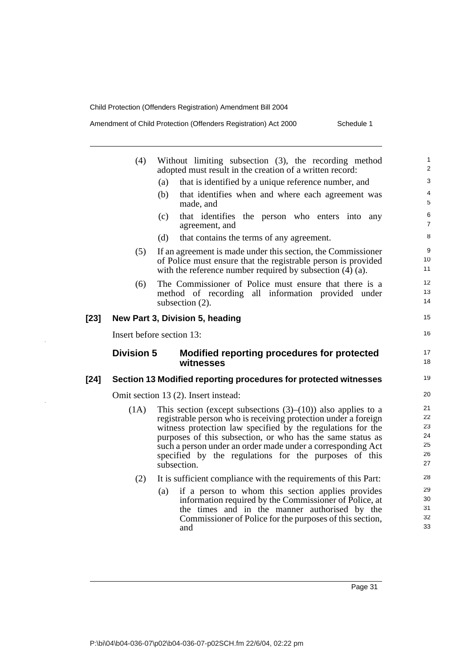Amendment of Child Protection (Offenders Registration) Act 2000 Schedule 1

|      | (4)               | Without limiting subsection (3), the recording method<br>adopted must result in the creation of a written record:                                                                               | 1<br>$\overline{2}$              |
|------|-------------------|-------------------------------------------------------------------------------------------------------------------------------------------------------------------------------------------------|----------------------------------|
|      |                   | that is identified by a unique reference number, and<br>(a)                                                                                                                                     | 3                                |
|      |                   | (b)<br>that identifies when and where each agreement was<br>made, and                                                                                                                           | 4<br>5                           |
|      |                   | that identifies the person who enters into any<br>(c)<br>agreement, and                                                                                                                         | 6<br>$\overline{7}$              |
|      |                   | (d)<br>that contains the terms of any agreement.                                                                                                                                                | 8                                |
|      | (5)               | If an agreement is made under this section, the Commissioner<br>of Police must ensure that the registrable person is provided<br>with the reference number required by subsection $(4)$ $(a)$ . | 9<br>10<br>11                    |
|      | (6)               | The Commissioner of Police must ensure that there is a<br>method of recording all information provided under<br>subsection (2).                                                                 | 12<br>13<br>14                   |
| [23] |                   | New Part 3, Division 5, heading                                                                                                                                                                 | 15                               |
|      |                   | Insert before section 13:                                                                                                                                                                       | 16                               |
|      | <b>Division 5</b> | Modified reporting procedures for protected<br>witnesses                                                                                                                                        | 17<br>18                         |
| [24] |                   | Section 13 Modified reporting procedures for protected witnesses                                                                                                                                | 19                               |
|      |                   |                                                                                                                                                                                                 |                                  |
|      |                   | Omit section 13 (2). Insert instead:                                                                                                                                                            | 20                               |
|      | (1A)              | This section (except subsections $(3)$ – $(10)$ ) also applies to a                                                                                                                             |                                  |
|      |                   | registrable person who is receiving protection under a foreign                                                                                                                                  |                                  |
|      |                   | witness protection law specified by the regulations for the                                                                                                                                     |                                  |
|      |                   | purposes of this subsection, or who has the same status as                                                                                                                                      |                                  |
|      |                   | such a person under an order made under a corresponding Act                                                                                                                                     | 25<br>26                         |
|      |                   | specified by the regulations for the purposes of this<br>subsection.                                                                                                                            |                                  |
|      | (2)               | It is sufficient compliance with the requirements of this Part:                                                                                                                                 | 21<br>22<br>23<br>24<br>27<br>28 |
|      |                   | if a person to whom this section applies provides<br>(a)                                                                                                                                        |                                  |
|      |                   | information required by the Commissioner of Police, at                                                                                                                                          | 29<br>30                         |
|      |                   | the times and in the manner authorised by the<br>Commissioner of Police for the purposes of this section,                                                                                       | 31<br>32                         |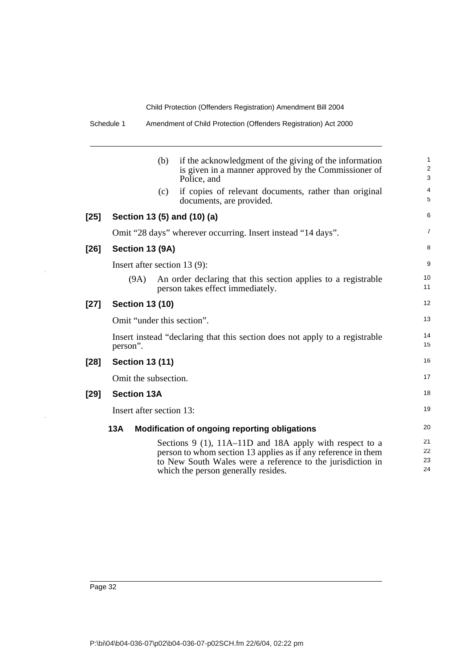|        |          | (b)                      | if the acknowledgment of the giving of the information<br>is given in a manner approved by the Commissioner of<br>Police, and                                                                                                   | 1<br>$\overline{\mathbf{c}}$<br>3 |
|--------|----------|--------------------------|---------------------------------------------------------------------------------------------------------------------------------------------------------------------------------------------------------------------------------|-----------------------------------|
|        |          | (c)                      | if copies of relevant documents, rather than original<br>documents, are provided.                                                                                                                                               | 4<br>5                            |
| $[25]$ |          |                          | Section 13 (5) and (10) (a)                                                                                                                                                                                                     | 6                                 |
|        |          |                          | Omit "28 days" wherever occurring. Insert instead "14 days".                                                                                                                                                                    | 7                                 |
| $[26]$ |          | Section 13 (9A)          |                                                                                                                                                                                                                                 | 8                                 |
|        |          |                          | Insert after section $13(9)$ :                                                                                                                                                                                                  | 9                                 |
|        |          | (9A)                     | An order declaring that this section applies to a registrable<br>person takes effect immediately.                                                                                                                               | 10<br>11                          |
| $[27]$ |          | <b>Section 13 (10)</b>   |                                                                                                                                                                                                                                 | 12                                |
|        |          |                          | Omit "under this section".                                                                                                                                                                                                      | 13                                |
|        | person". |                          | Insert instead "declaring that this section does not apply to a registrable                                                                                                                                                     | 14<br>15                          |
| $[28]$ |          | <b>Section 13 (11)</b>   |                                                                                                                                                                                                                                 | 16                                |
|        |          | Omit the subsection.     |                                                                                                                                                                                                                                 | 17                                |
| [29]   |          | <b>Section 13A</b>       |                                                                                                                                                                                                                                 | 18                                |
|        |          | Insert after section 13: |                                                                                                                                                                                                                                 | 19                                |
|        | 13A      |                          | Modification of ongoing reporting obligations                                                                                                                                                                                   | 20                                |
|        |          |                          | Sections $9$ (1), 11A–11D and 18A apply with respect to a<br>person to whom section 13 applies as if any reference in them<br>to New South Wales were a reference to the jurisdiction in<br>which the person generally resides. | 21<br>22<br>23<br>24              |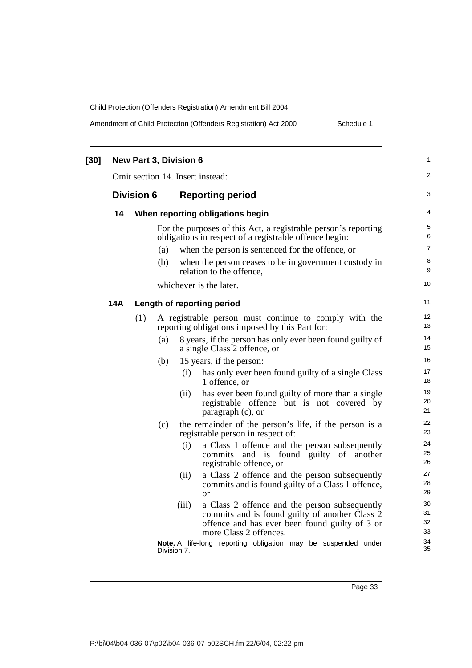Amendment of Child Protection (Offenders Registration) Act 2000 Schedule 1

| $[30]$ | <b>New Part 3, Division 6</b> |                   |     |             |                                                                                                                                                                             |                      |  |
|--------|-------------------------------|-------------------|-----|-------------|-----------------------------------------------------------------------------------------------------------------------------------------------------------------------------|----------------------|--|
|        |                               |                   |     |             | Omit section 14. Insert instead:                                                                                                                                            | 2                    |  |
|        |                               | <b>Division 6</b> |     |             | <b>Reporting period</b>                                                                                                                                                     | 3                    |  |
|        | 14                            |                   |     |             | When reporting obligations begin                                                                                                                                            | 4                    |  |
|        |                               |                   |     |             | For the purposes of this Act, a registrable person's reporting<br>obligations in respect of a registrable offence begin:                                                    | 5<br>6               |  |
|        |                               |                   | (a) |             | when the person is sentenced for the offence, or                                                                                                                            | 7                    |  |
|        |                               |                   | (b) |             | when the person ceases to be in government custody in<br>relation to the offence,                                                                                           | 8<br>9               |  |
|        |                               |                   |     |             | whichever is the later.                                                                                                                                                     | 10                   |  |
|        | 14A                           |                   |     |             | Length of reporting period                                                                                                                                                  | 11                   |  |
|        |                               | (1)               |     |             | A registrable person must continue to comply with the<br>reporting obligations imposed by this Part for:                                                                    | 12<br>13             |  |
|        |                               |                   | (a) |             | 8 years, if the person has only ever been found guilty of<br>a single Class 2 offence, or                                                                                   | 14<br>15             |  |
|        |                               |                   | (b) |             | 15 years, if the person:                                                                                                                                                    | 16                   |  |
|        |                               |                   |     | (i)         | has only ever been found guilty of a single Class<br>1 offence, or                                                                                                          | 17<br>18             |  |
|        |                               |                   |     | (ii)        | has ever been found guilty of more than a single<br>registrable offence but is not covered by<br>paragraph (c), or                                                          | 19<br>20<br>21       |  |
|        |                               |                   | (c) |             | the remainder of the person's life, if the person is a<br>registrable person in respect of:                                                                                 | 22<br>23             |  |
|        |                               |                   |     | (i)         | a Class 1 offence and the person subsequently<br>commits and is found guilty of another<br>registrable offence, or                                                          | 24<br>25<br>26       |  |
|        |                               |                   |     | (ii)        | a Class 2 offence and the person subsequently<br>commits and is found guilty of a Class 1 offence,<br>or                                                                    | 27<br>28<br>29       |  |
|        |                               |                   |     | (iii)       | a Class 2 offence and the person subsequently<br>commits and is found guilty of another Class 2<br>offence and has ever been found guilty of 3 or<br>more Class 2 offences. | 30<br>31<br>32<br>33 |  |
|        |                               |                   |     | Division 7. | Note. A life-long reporting obligation may be suspended under                                                                                                               | 34<br>35             |  |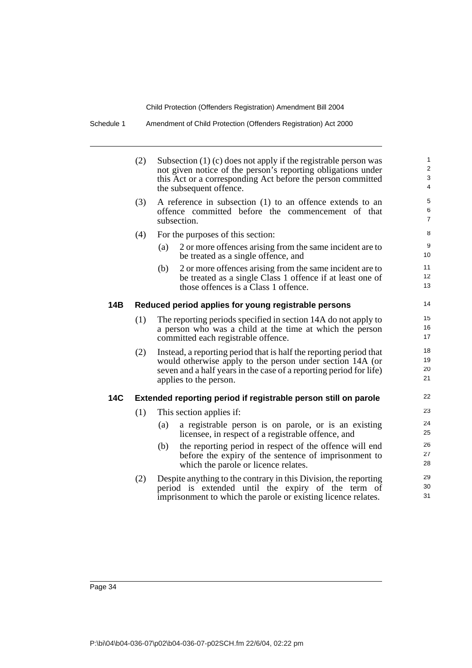| Schedule 1 |  | Amendment of Child Protection (Offenders Registration) Act 2000 |
|------------|--|-----------------------------------------------------------------|
|------------|--|-----------------------------------------------------------------|

|            | (2) | Subsection (1) (c) does not apply if the registrable person was<br>not given notice of the person's reporting obligations under<br>this Act or a corresponding Act before the person committed<br>the subsequent offence.       | $\mathbf{1}$<br>2<br>$\ensuremath{\mathsf{3}}$<br>$\overline{4}$ |
|------------|-----|---------------------------------------------------------------------------------------------------------------------------------------------------------------------------------------------------------------------------------|------------------------------------------------------------------|
|            | (3) | A reference in subsection (1) to an offence extends to an<br>offence committed before the commencement of that<br>subsection.                                                                                                   | $\sqrt{5}$<br>6<br>$\overline{7}$                                |
|            | (4) | For the purposes of this section:                                                                                                                                                                                               | $\,8\,$                                                          |
|            |     | 2 or more offences arising from the same incident are to<br>(a)<br>be treated as a single offence, and                                                                                                                          | 9<br>10                                                          |
|            |     | 2 or more offences arising from the same incident are to<br>(b)<br>be treated as a single Class 1 offence if at least one of<br>those offences is a Class 1 offence.                                                            | 11<br>12<br>13                                                   |
| 14B        |     | Reduced period applies for young registrable persons                                                                                                                                                                            | 14                                                               |
|            | (1) | The reporting periods specified in section 14A do not apply to<br>a person who was a child at the time at which the person<br>committed each registrable offence.                                                               | 15<br>16<br>17                                                   |
|            | (2) | Instead, a reporting period that is half the reporting period that<br>would otherwise apply to the person under section 14A (or<br>seven and a half years in the case of a reporting period for life)<br>applies to the person. | 18<br>19<br>20<br>21                                             |
| <b>14C</b> |     | Extended reporting period if registrable person still on parole                                                                                                                                                                 | 22                                                               |
|            | (1) | This section applies if:                                                                                                                                                                                                        | 23                                                               |
|            |     | a registrable person is on parole, or is an existing<br>(a)<br>licensee, in respect of a registrable offence, and                                                                                                               | 24<br>25                                                         |
|            |     | the reporting period in respect of the offence will end<br>(b)<br>before the expiry of the sentence of imprisonment to<br>which the parole or licence relates.                                                                  | 26<br>27<br>28                                                   |
|            | (2) | Despite anything to the contrary in this Division, the reporting<br>period is extended until the expiry of the term of<br>imprisonment to which the parole or existing licence relates.                                         | 29<br>30<br>31                                                   |
|            |     |                                                                                                                                                                                                                                 |                                                                  |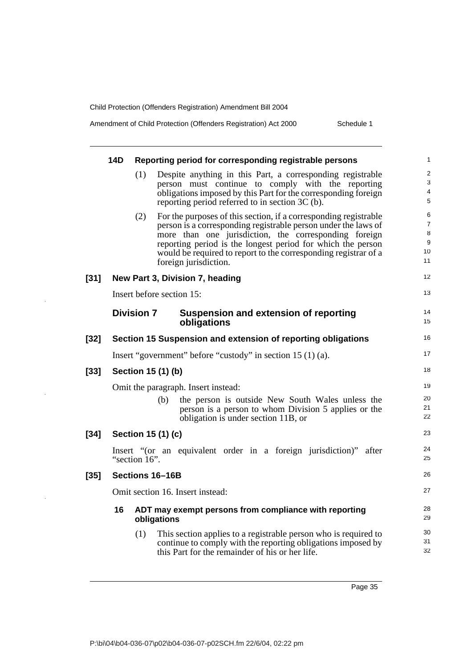Amendment of Child Protection (Offenders Registration) Act 2000 Schedule 1

|        | <b>14D</b> |                   |                    | Reporting period for corresponding registrable persons                                                                                                                                                                                                                                                                                                 | 1                                         |
|--------|------------|-------------------|--------------------|--------------------------------------------------------------------------------------------------------------------------------------------------------------------------------------------------------------------------------------------------------------------------------------------------------------------------------------------------------|-------------------------------------------|
|        |            | (1)               |                    | Despite anything in this Part, a corresponding registrable<br>person must continue to comply with the reporting<br>obligations imposed by this Part for the corresponding foreign<br>reporting period referred to in section 3C (b).                                                                                                                   | $\overline{\mathbf{c}}$<br>3<br>4<br>5    |
|        |            | (2)               |                    | For the purposes of this section, if a corresponding registrable<br>person is a corresponding registrable person under the laws of<br>more than one jurisdiction, the corresponding foreign<br>reporting period is the longest period for which the person<br>would be required to report to the corresponding registrar of a<br>foreign jurisdiction. | 6<br>$\overline{7}$<br>8<br>9<br>10<br>11 |
| $[31]$ |            |                   |                    | New Part 3, Division 7, heading                                                                                                                                                                                                                                                                                                                        | 12                                        |
|        |            |                   |                    | Insert before section 15:                                                                                                                                                                                                                                                                                                                              | 13                                        |
|        |            | <b>Division 7</b> |                    | <b>Suspension and extension of reporting</b><br>obligations                                                                                                                                                                                                                                                                                            | 14<br>15                                  |
| $[32]$ |            |                   |                    | Section 15 Suspension and extension of reporting obligations                                                                                                                                                                                                                                                                                           | 16                                        |
|        |            |                   |                    | Insert "government" before "custody" in section 15 (1) (a).                                                                                                                                                                                                                                                                                            | 17                                        |
| $[33]$ |            |                   | Section 15 (1) (b) |                                                                                                                                                                                                                                                                                                                                                        | 18                                        |
|        |            |                   |                    | Omit the paragraph. Insert instead:                                                                                                                                                                                                                                                                                                                    | 19                                        |
|        |            |                   | (b)                | the person is outside New South Wales unless the<br>person is a person to whom Division 5 applies or the<br>obligation is under section 11B, or                                                                                                                                                                                                        | 20<br>21<br>22                            |
| $[34]$ |            |                   | Section 15 (1) (c) |                                                                                                                                                                                                                                                                                                                                                        | 23                                        |
|        |            | "section 16".     |                    | Insert "(or an equivalent order in a foreign jurisdiction)" after                                                                                                                                                                                                                                                                                      | 24<br>25                                  |
| $[35]$ |            |                   | Sections 16-16B    |                                                                                                                                                                                                                                                                                                                                                        | 26                                        |
|        |            |                   |                    | Omit section 16. Insert instead:                                                                                                                                                                                                                                                                                                                       | 27                                        |
|        | 16         |                   | obligations        | ADT may exempt persons from compliance with reporting                                                                                                                                                                                                                                                                                                  | 28<br>29                                  |
|        |            | (1)               |                    | This section applies to a registrable person who is required to<br>continue to comply with the reporting obligations imposed by<br>this Part for the remainder of his or her life.                                                                                                                                                                     | 30<br>31<br>32                            |
|        |            |                   |                    |                                                                                                                                                                                                                                                                                                                                                        |                                           |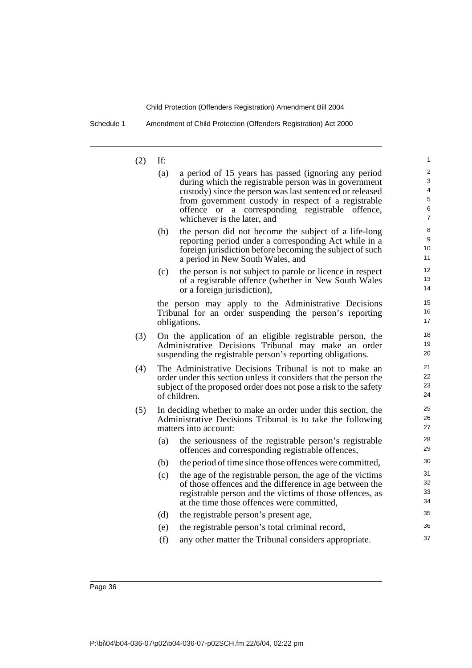Schedule 1 Amendment of Child Protection (Offenders Registration) Act 2000

 $(2)$ 

| (2) | If: |                                                                                                                                                                                                                                                                                                                    | 1                          |
|-----|-----|--------------------------------------------------------------------------------------------------------------------------------------------------------------------------------------------------------------------------------------------------------------------------------------------------------------------|----------------------------|
|     | (a) | a period of 15 years has passed (ignoring any period<br>during which the registrable person was in government<br>custody) since the person was last sentenced or released<br>from government custody in respect of a registrable<br>offence or a corresponding registrable offence,<br>whichever is the later, and | 2<br>3<br>4<br>5<br>6<br>7 |
|     | (b) | the person did not become the subject of a life-long<br>reporting period under a corresponding Act while in a<br>foreign jurisdiction before becoming the subject of such<br>a period in New South Wales, and                                                                                                      | 8<br>9<br>10<br>11         |
|     | (c) | the person is not subject to parole or licence in respect<br>of a registrable offence (whether in New South Wales<br>or a foreign jurisdiction),                                                                                                                                                                   | 12<br>13<br>14             |
|     |     | the person may apply to the Administrative Decisions<br>Tribunal for an order suspending the person's reporting<br>obligations.                                                                                                                                                                                    | 15<br>16<br>17             |
| (3) |     | On the application of an eligible registrable person, the<br>Administrative Decisions Tribunal may make an order<br>suspending the registrable person's reporting obligations.                                                                                                                                     | 18<br>19<br>20             |
| (4) |     | The Administrative Decisions Tribunal is not to make an<br>order under this section unless it considers that the person the<br>subject of the proposed order does not pose a risk to the safety<br>of children.                                                                                                    | 21<br>22<br>23<br>24       |
| (5) |     | In deciding whether to make an order under this section, the<br>Administrative Decisions Tribunal is to take the following<br>matters into account:                                                                                                                                                                | 25<br>26<br>27             |
|     | (a) | the seriousness of the registrable person's registrable<br>offences and corresponding registrable offences,                                                                                                                                                                                                        | 28<br>29                   |
|     | (b) | the period of time since those offences were committed,                                                                                                                                                                                                                                                            | 30                         |
|     | (c) | the age of the registrable person, the age of the victims<br>of those offences and the difference in age between the<br>registrable person and the victims of those offences, as<br>at the time those offences were committed,                                                                                     | 31<br>32<br>33<br>34       |
|     | (d) | the registrable person's present age,                                                                                                                                                                                                                                                                              | 35                         |
|     | (e) | the registrable person's total criminal record,                                                                                                                                                                                                                                                                    | 36                         |
|     | (f) | any other matter the Tribunal considers appropriate.                                                                                                                                                                                                                                                               | 37                         |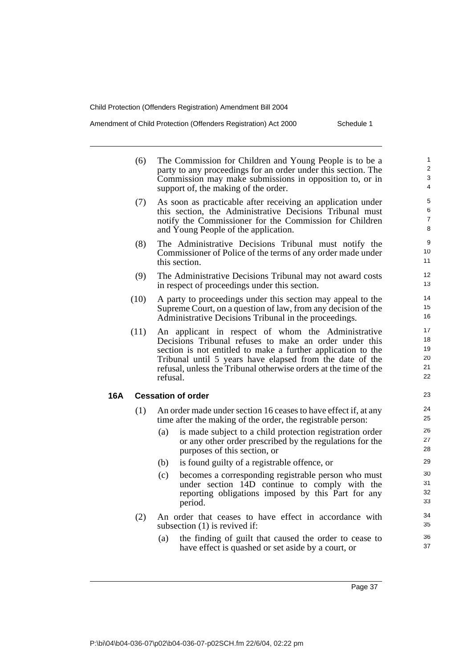Amendment of Child Protection (Offenders Registration) Act 2000 Schedule 1

|     | (6)  | The Commission for Children and Young People is to be a<br>party to any proceedings for an order under this section. The<br>Commission may make submissions in opposition to, or in<br>support of, the making of the order.                                                                                              | 1<br>2<br>3<br>$\overline{4}$    |
|-----|------|--------------------------------------------------------------------------------------------------------------------------------------------------------------------------------------------------------------------------------------------------------------------------------------------------------------------------|----------------------------------|
|     | (7)  | As soon as practicable after receiving an application under<br>this section, the Administrative Decisions Tribunal must<br>notify the Commissioner for the Commission for Children<br>and Young People of the application.                                                                                               | 5<br>6<br>$\overline{7}$<br>8    |
|     | (8)  | The Administrative Decisions Tribunal must notify the<br>Commissioner of Police of the terms of any order made under<br>this section.                                                                                                                                                                                    | 9<br>10<br>11                    |
|     | (9)  | The Administrative Decisions Tribunal may not award costs<br>in respect of proceedings under this section.                                                                                                                                                                                                               | 12<br>13                         |
|     | (10) | A party to proceedings under this section may appeal to the<br>Supreme Court, on a question of law, from any decision of the<br>Administrative Decisions Tribunal in the proceedings.                                                                                                                                    | 14<br>15<br>16                   |
|     | (11) | An applicant in respect of whom the Administrative<br>Decisions Tribunal refuses to make an order under this<br>section is not entitled to make a further application to the<br>Tribunal until 5 years have elapsed from the date of the<br>refusal, unless the Tribunal otherwise orders at the time of the<br>refusal. | 17<br>18<br>19<br>20<br>21<br>22 |
| 16A |      | <b>Cessation of order</b>                                                                                                                                                                                                                                                                                                | 23                               |
|     | (1)  | An order made under section 16 ceases to have effect if, at any<br>time after the making of the order, the registrable person:                                                                                                                                                                                           | 24<br>25                         |
|     |      | (a)<br>is made subject to a child protection registration order<br>or any other order prescribed by the regulations for the<br>purposes of this section, or                                                                                                                                                              | 26<br>27<br>28                   |
|     |      | is found guilty of a registrable offence, or<br>(b)                                                                                                                                                                                                                                                                      | 29                               |
|     |      | (c)<br>becomes a corresponding registrable person who must<br>under section 14D continue to comply with the<br>reporting obligations imposed by this Part for any<br>period.                                                                                                                                             | 30<br>31<br>32<br>33             |
|     | (2)  | An order that ceases to have effect in accordance with<br>subsection $(1)$ is revived if:                                                                                                                                                                                                                                | 34<br>35                         |
|     |      | (a)<br>the finding of guilt that caused the order to cease to<br>have effect is quashed or set aside by a court, or                                                                                                                                                                                                      | 36<br>37                         |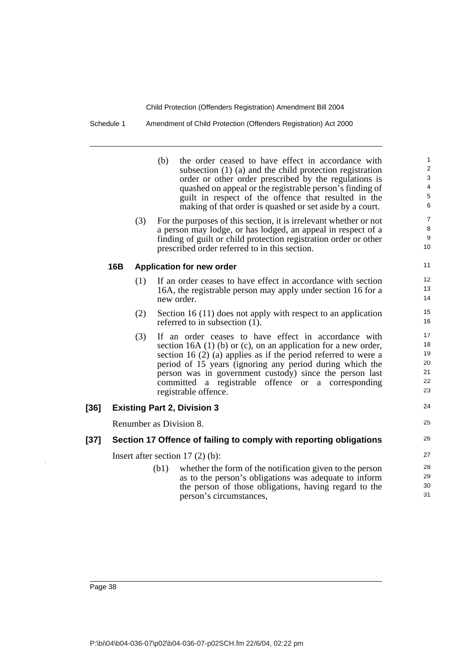Schedule 1 Amendment of Child Protection (Offenders Registration) Act 2000

|      |     |     | the order ceased to have effect in accordance with<br>(b)<br>subsection $(1)$ $(a)$ and the child protection registration<br>order or other order prescribed by the regulations is<br>quashed on appeal or the registrable person's finding of<br>guilt in respect of the offence that resulted in the<br>making of that order is quashed or set aside by a court.                                   | 1<br>$\overline{\mathbf{c}}$<br>3<br>$\overline{\mathbf{4}}$<br>5<br>6 |
|------|-----|-----|------------------------------------------------------------------------------------------------------------------------------------------------------------------------------------------------------------------------------------------------------------------------------------------------------------------------------------------------------------------------------------------------------|------------------------------------------------------------------------|
|      |     | (3) | For the purposes of this section, it is irrelevant whether or not<br>a person may lodge, or has lodged, an appeal in respect of a<br>finding of guilt or child protection registration order or other<br>prescribed order referred to in this section.                                                                                                                                               | $\overline{7}$<br>8<br>9<br>10                                         |
|      | 16B |     | <b>Application for new order</b>                                                                                                                                                                                                                                                                                                                                                                     | 11                                                                     |
|      |     | (1) | If an order ceases to have effect in accordance with section<br>16A, the registrable person may apply under section 16 for a<br>new order.                                                                                                                                                                                                                                                           | 12<br>13<br>14                                                         |
|      |     | (2) | Section 16 (11) does not apply with respect to an application<br>referred to in subsection (1).                                                                                                                                                                                                                                                                                                      | 15<br>16                                                               |
|      |     | (3) | If an order ceases to have effect in accordance with<br>section 16A $(1)$ (b) or $(c)$ , on an application for a new order,<br>section 16 $(2)$ (a) applies as if the period referred to were a<br>period of 15 years (ignoring any period during which the<br>person was in government custody) since the person last<br>committed a registrable offence or a corresponding<br>registrable offence. | 17<br>18<br>19<br>20<br>21<br>22<br>23                                 |
| [36] |     |     | <b>Existing Part 2, Division 3</b>                                                                                                                                                                                                                                                                                                                                                                   | 24                                                                     |
|      |     |     | Renumber as Division 8.                                                                                                                                                                                                                                                                                                                                                                              | 25                                                                     |
| [37] |     |     | Section 17 Offence of failing to comply with reporting obligations                                                                                                                                                                                                                                                                                                                                   | 26                                                                     |
|      |     |     | Insert after section $17(2)$ (b):                                                                                                                                                                                                                                                                                                                                                                    | 27                                                                     |
|      |     |     | (b1)<br>whether the form of the notification given to the person<br>as to the person's obligations was adequate to inform<br>the person of those obligations, having regard to the<br>person's circumstances,                                                                                                                                                                                        | 28<br>29<br>30<br>31                                                   |
|      |     |     |                                                                                                                                                                                                                                                                                                                                                                                                      |                                                                        |

l.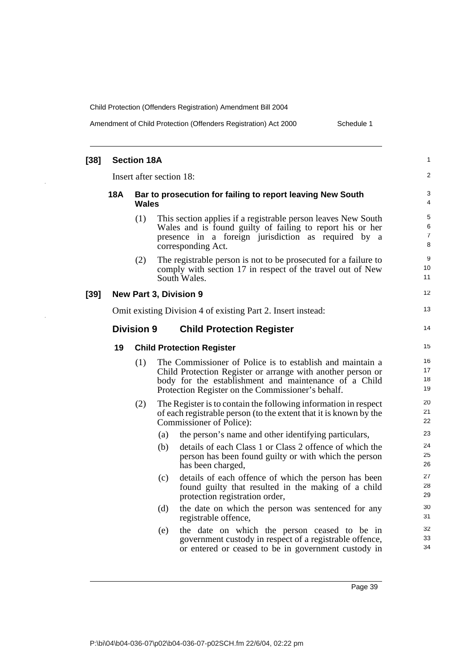Amendment of Child Protection (Offenders Registration) Act 2000 Schedule 1

| $[38]$                                                |                                                              | <b>Section 18A</b> |     |                                                                                                                                                                                                                                        | 1                    |  |
|-------------------------------------------------------|--------------------------------------------------------------|--------------------|-----|----------------------------------------------------------------------------------------------------------------------------------------------------------------------------------------------------------------------------------------|----------------------|--|
|                                                       | Insert after section 18:                                     |                    |     |                                                                                                                                                                                                                                        |                      |  |
|                                                       | 18A                                                          | Wales              |     | Bar to prosecution for failing to report leaving New South                                                                                                                                                                             | 3<br>4               |  |
|                                                       |                                                              | (1)                |     | This section applies if a registrable person leaves New South<br>Wales and is found guilty of failing to report his or her<br>presence in a foreign jurisdiction as required by a<br>corresponding Act.                                | 5<br>6<br>7<br>8     |  |
|                                                       |                                                              | (2)                |     | The registrable person is not to be prosecuted for a failure to<br>comply with section 17 in respect of the travel out of New<br>South Wales.                                                                                          | 9<br>10<br>11        |  |
| $[39]$                                                |                                                              |                    |     | <b>New Part 3, Division 9</b>                                                                                                                                                                                                          | 12                   |  |
|                                                       | Omit existing Division 4 of existing Part 2. Insert instead: |                    |     | 13                                                                                                                                                                                                                                     |                      |  |
| <b>Division 9</b><br><b>Child Protection Register</b> |                                                              |                    |     |                                                                                                                                                                                                                                        | 14                   |  |
|                                                       | 19                                                           |                    |     | <b>Child Protection Register</b>                                                                                                                                                                                                       | 15                   |  |
|                                                       |                                                              | (1)                |     | The Commissioner of Police is to establish and maintain a<br>Child Protection Register or arrange with another person or<br>body for the establishment and maintenance of a Child<br>Protection Register on the Commissioner's behalf. | 16<br>17<br>18<br>19 |  |
|                                                       |                                                              | (2)                |     | The Register is to contain the following information in respect<br>of each registrable person (to the extent that it is known by the<br>Commissioner of Police):                                                                       | 20<br>21<br>22       |  |
|                                                       |                                                              |                    | (a) | the person's name and other identifying particulars,                                                                                                                                                                                   | 23                   |  |
|                                                       |                                                              |                    | (b) | details of each Class 1 or Class 2 offence of which the<br>person has been found guilty or with which the person<br>has been charged,                                                                                                  | 24<br>25<br>26       |  |
|                                                       |                                                              |                    | (c) | details of each offence of which the person has been<br>found guilty that resulted in the making of a child<br>protection registration order,                                                                                          | 27<br>28<br>29       |  |
|                                                       |                                                              |                    | (d) | the date on which the person was sentenced for any<br>registrable offence,                                                                                                                                                             | 30<br>31             |  |
|                                                       |                                                              |                    | (e) | the date on which the person ceased to be in<br>government custody in respect of a registrable offence,<br>or entered or ceased to be in government custody in                                                                         | 32<br>33<br>34       |  |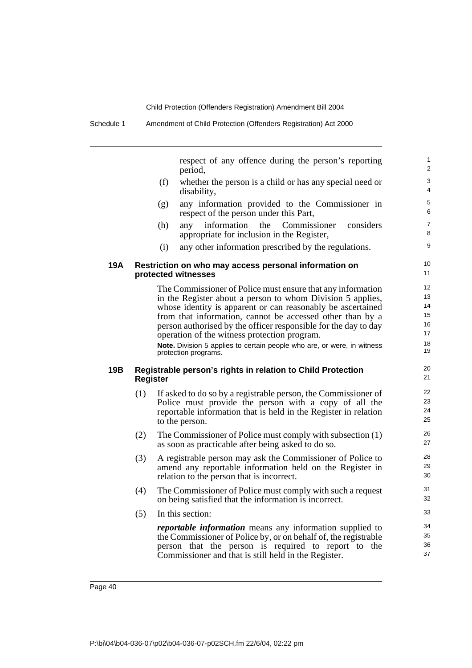respect of any offence during the person's reporting period,

- (f) whether the person is a child or has any special need or disability,
- (g) any information provided to the Commissioner in respect of the person under this Part,
- (h) any information the Commissioner considers appropriate for inclusion in the Register,
- (i) any other information prescribed by the regulations.

#### **19A Restriction on who may access personal information on protected witnesses**

The Commissioner of Police must ensure that any information in the Register about a person to whom Division 5 applies, whose identity is apparent or can reasonably be ascertained from that information, cannot be accessed other than by a person authorised by the officer responsible for the day to day operation of the witness protection program.

**Note.** Division 5 applies to certain people who are, or were, in witness protection programs.

### **19B Registrable person's rights in relation to Child Protection Register**

- (1) If asked to do so by a registrable person, the Commissioner of Police must provide the person with a copy of all the reportable information that is held in the Register in relation to the person.
- (2) The Commissioner of Police must comply with subsection (1) as soon as practicable after being asked to do so.
- (3) A registrable person may ask the Commissioner of Police to amend any reportable information held on the Register in relation to the person that is incorrect.
- (4) The Commissioner of Police must comply with such a request on being satisfied that the information is incorrect.
- (5) In this section:

*reportable information* means any information supplied to the Commissioner of Police by, or on behalf of, the registrable person that the person is required to report to the Commissioner and that is still held in the Register.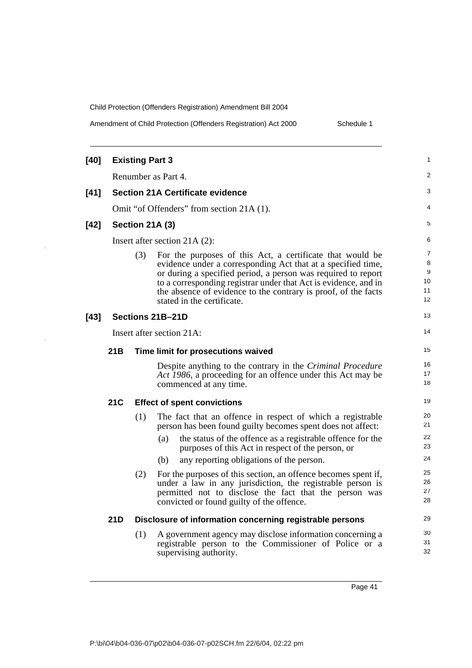Amendment of Child Protection (Offenders Registration) Act 2000 Schedule 1

| [40]                      | <b>Existing Part 3</b>                  |                                                                                                                                                                                                                                                                                                                                                                      |                               |  |  |
|---------------------------|-----------------------------------------|----------------------------------------------------------------------------------------------------------------------------------------------------------------------------------------------------------------------------------------------------------------------------------------------------------------------------------------------------------------------|-------------------------------|--|--|
|                           | Renumber as Part 4.                     |                                                                                                                                                                                                                                                                                                                                                                      |                               |  |  |
| [41]                      | <b>Section 21A Certificate evidence</b> |                                                                                                                                                                                                                                                                                                                                                                      |                               |  |  |
|                           |                                         | Omit "of Offenders" from section 21A (1).                                                                                                                                                                                                                                                                                                                            | 4                             |  |  |
| $[42]$                    |                                         | Section 21A (3)                                                                                                                                                                                                                                                                                                                                                      | 5                             |  |  |
|                           |                                         | Insert after section $21A(2)$ :                                                                                                                                                                                                                                                                                                                                      | 6                             |  |  |
|                           |                                         | (3)<br>For the purposes of this Act, a certificate that would be<br>evidence under a corresponding Act that at a specified time,<br>or during a specified period, a person was required to report<br>to a corresponding registrar under that Act is evidence, and in<br>the absence of evidence to the contrary is proof, of the facts<br>stated in the certificate. | 7<br>8<br>9<br>10<br>11<br>12 |  |  |
| $[43]$                    |                                         | Sections 21B-21D                                                                                                                                                                                                                                                                                                                                                     | 13                            |  |  |
| Insert after section 21A: |                                         |                                                                                                                                                                                                                                                                                                                                                                      |                               |  |  |
|                           | 21B                                     | Time limit for prosecutions waived                                                                                                                                                                                                                                                                                                                                   | 15                            |  |  |
|                           |                                         | Despite anything to the contrary in the Criminal Procedure<br>Act 1986, a proceeding for an offence under this Act may be<br>commenced at any time.                                                                                                                                                                                                                  | 16<br>17<br>18                |  |  |
|                           | 21C                                     | <b>Effect of spent convictions</b>                                                                                                                                                                                                                                                                                                                                   | 19                            |  |  |
|                           |                                         | (1)<br>The fact that an offence in respect of which a registrable<br>person has been found guilty becomes spent does not affect:<br>(a)<br>the status of the offence as a registrable offence for the<br>purposes of this Act in respect of the person, or                                                                                                           | 20<br>21<br>22<br>23          |  |  |
|                           |                                         | (b)<br>any reporting obligations of the person.                                                                                                                                                                                                                                                                                                                      | 24                            |  |  |
|                           |                                         | (2)<br>For the purposes of this section, an offence becomes spent if,<br>under a law in any jurisdiction, the registrable person is<br>permitted not to disclose the fact that the person was<br>convicted or found guilty of the offence.                                                                                                                           | 25<br>26<br>27<br>28          |  |  |
|                           | 21D                                     | Disclosure of information concerning registrable persons                                                                                                                                                                                                                                                                                                             | 29                            |  |  |
|                           |                                         | (1)<br>A government agency may disclose information concerning a<br>registrable person to the Commissioner of Police or a<br>supervising authority.                                                                                                                                                                                                                  | 30<br>31<br>32                |  |  |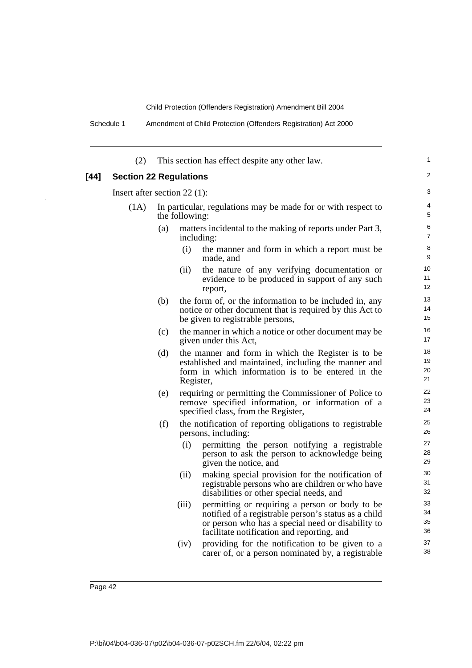Schedule 1 Amendment of Child Protection (Offenders Registration) Act 2000

|      | (2)                            |     |                | This section has effect despite any other law.                                                                                                                                                            | 1                    |  |
|------|--------------------------------|-----|----------------|-----------------------------------------------------------------------------------------------------------------------------------------------------------------------------------------------------------|----------------------|--|
| [44] | <b>Section 22 Regulations</b>  |     |                |                                                                                                                                                                                                           | 2                    |  |
|      | Insert after section $22$ (1): |     |                |                                                                                                                                                                                                           |                      |  |
|      | (1A)                           |     | the following: | In particular, regulations may be made for or with respect to                                                                                                                                             | 4<br>5               |  |
|      |                                | (a) |                | matters incidental to the making of reports under Part 3,<br>including:                                                                                                                                   | 6<br>7               |  |
|      |                                |     | (i)            | the manner and form in which a report must be<br>made, and                                                                                                                                                | 8<br>9               |  |
|      |                                |     | (ii)           | the nature of any verifying documentation or<br>evidence to be produced in support of any such<br>report,                                                                                                 | 10<br>11<br>12       |  |
|      |                                | (b) |                | the form of, or the information to be included in, any<br>notice or other document that is required by this Act to<br>be given to registrable persons,                                                    | 13<br>14<br>15       |  |
|      |                                | (c) |                | the manner in which a notice or other document may be<br>given under this Act,                                                                                                                            | 16<br>17             |  |
|      |                                | (d) | Register,      | the manner and form in which the Register is to be<br>established and maintained, including the manner and<br>form in which information is to be entered in the                                           | 18<br>19<br>20<br>21 |  |
|      |                                | (e) |                | requiring or permitting the Commissioner of Police to<br>remove specified information, or information of a<br>specified class, from the Register,                                                         | 22<br>23<br>24       |  |
|      |                                | (f) |                | the notification of reporting obligations to registrable<br>persons, including:                                                                                                                           | 25<br>26             |  |
|      |                                |     | (i)            | permitting the person notifying a registrable<br>person to ask the person to acknowledge being<br>given the notice, and                                                                                   | 27<br>28<br>29       |  |
|      |                                |     | (ii)           | making special provision for the notification of<br>registrable persons who are children or who have<br>disabilities or other special needs, and                                                          | 30<br>31<br>32       |  |
|      |                                |     | (iii)          | permitting or requiring a person or body to be<br>notified of a registrable person's status as a child<br>or person who has a special need or disability to<br>facilitate notification and reporting, and | 33<br>34<br>35<br>36 |  |
|      |                                |     | (iv)           | providing for the notification to be given to a<br>carer of, or a person nominated by, a registrable                                                                                                      | 37<br>38             |  |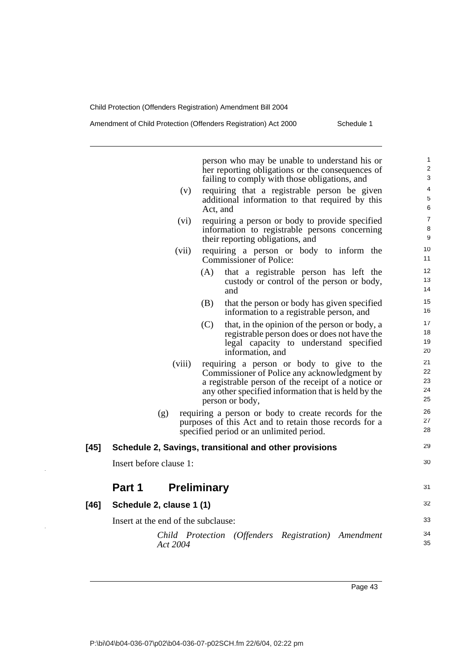person who may be unable to understand his or her reporting obligations or the consequences of failing to comply with those obligations, and (v) requiring that a registrable person be given additional information to that required by this Act, and (vi) requiring a person or body to provide specified information to registrable persons concerning their reporting obligations, and (vii) requiring a person or body to inform the Commissioner of Police: (A) that a registrable person has left the custody or control of the person or body, and (B) that the person or body has given specified information to a registrable person, and (C) that, in the opinion of the person or body, a registrable person does or does not have the legal capacity to understand specified information, and (viii) requiring a person or body to give to the Commissioner of Police any acknowledgment by a registrable person of the receipt of a notice or any other specified information that is held by the person or body, (g) requiring a person or body to create records for the purposes of this Act and to retain those records for a specified period or an unlimited period. **[45] Schedule 2, Savings, transitional and other provisions** Insert before clause 1: **Part 1 Preliminary [46] Schedule 2, clause 1 (1)** Insert at the end of the subclause: *Child Protection (Offenders Registration) Amendment Act 2004* 1  $\overline{2}$ 3 4 5 6 7 8 9 10 11 12 13 14 15 16 17 18 19 20 21 22 23 24 25 26 27 28 29 30 31 32 33 34 35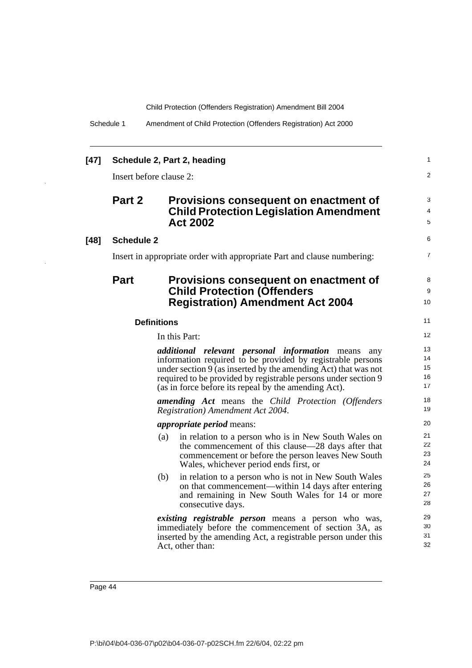|  | Schedule 1 | Amendment of Child Protection (Offenders Registration) Act 2000 |  |
|--|------------|-----------------------------------------------------------------|--|
|--|------------|-----------------------------------------------------------------|--|

| [47]   |                                                                         | Schedule 2, Part 2, heading                                                                                                                                                                                                                                                                                            | 1                          |  |
|--------|-------------------------------------------------------------------------|------------------------------------------------------------------------------------------------------------------------------------------------------------------------------------------------------------------------------------------------------------------------------------------------------------------------|----------------------------|--|
|        |                                                                         | Insert before clause 2:                                                                                                                                                                                                                                                                                                | 2                          |  |
|        | Part 2                                                                  | Provisions consequent on enactment of<br><b>Child Protection Legislation Amendment</b><br><b>Act 2002</b>                                                                                                                                                                                                              | 3<br>4<br>5                |  |
| $[48]$ | <b>Schedule 2</b>                                                       |                                                                                                                                                                                                                                                                                                                        | 6                          |  |
|        | Insert in appropriate order with appropriate Part and clause numbering: |                                                                                                                                                                                                                                                                                                                        |                            |  |
|        | <b>Part</b>                                                             | Provisions consequent on enactment of<br><b>Child Protection (Offenders</b><br><b>Registration) Amendment Act 2004</b>                                                                                                                                                                                                 | 8<br>9<br>10               |  |
|        |                                                                         | <b>Definitions</b>                                                                                                                                                                                                                                                                                                     | 11                         |  |
|        |                                                                         | In this Part:                                                                                                                                                                                                                                                                                                          | 12                         |  |
|        |                                                                         | <i>additional</i> relevant personal information means<br>any<br>information required to be provided by registrable persons<br>under section 9 (as inserted by the amending Act) that was not<br>required to be provided by registrable persons under section 9<br>(as in force before its repeal by the amending Act). | 13<br>14<br>15<br>16<br>17 |  |
|        |                                                                         | <b>amending Act</b> means the Child Protection (Offenders<br>Registration) Amendment Act 2004.                                                                                                                                                                                                                         | 18<br>19                   |  |
|        |                                                                         | <i>appropriate period</i> means:                                                                                                                                                                                                                                                                                       | 20                         |  |
|        |                                                                         | in relation to a person who is in New South Wales on<br>(a)<br>the commencement of this clause—28 days after that<br>commencement or before the person leaves New South<br>Wales, whichever period ends first, or                                                                                                      | 21<br>22<br>23<br>24       |  |
|        |                                                                         | (b)<br>in relation to a person who is not in New South Wales<br>on that commencement—within 14 days after entering<br>and remaining in New South Wales for 14 or more<br>consecutive days.                                                                                                                             | 25<br>26<br>27<br>28       |  |
|        |                                                                         | existing registrable person means a person who was,<br>immediately before the commencement of section 3A, as<br>inserted by the amending Act, a registrable person under this<br>Act, other than:                                                                                                                      | 29<br>30<br>31<br>32       |  |

Page 44

 $\ddot{\phantom{a}}$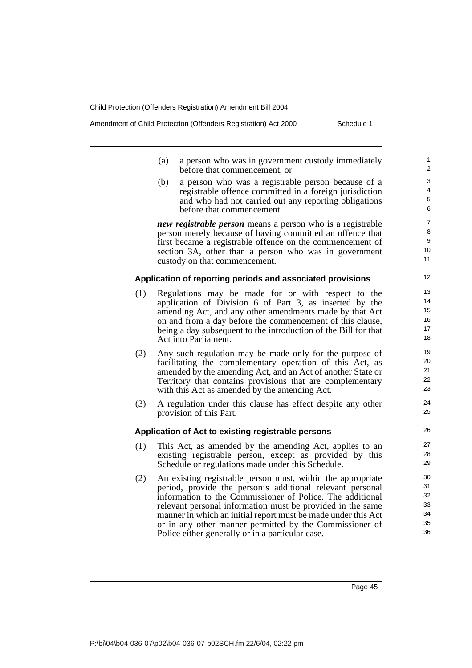Amendment of Child Protection (Offenders Registration) Act 2000 Schedule 1

- (a) a person who was in government custody immediately before that commencement, or
- (b) a person who was a registrable person because of a registrable offence committed in a foreign jurisdiction and who had not carried out any reporting obligations before that commencement.

*new registrable person* means a person who is a registrable person merely because of having committed an offence that first became a registrable offence on the commencement of section 3A, other than a person who was in government custody on that commencement.

### **Application of reporting periods and associated provisions**

- (1) Regulations may be made for or with respect to the application of Division 6 of Part 3, as inserted by the amending Act, and any other amendments made by that Act on and from a day before the commencement of this clause, being a day subsequent to the introduction of the Bill for that Act into Parliament.
- (2) Any such regulation may be made only for the purpose of facilitating the complementary operation of this Act, as amended by the amending Act, and an Act of another State or Territory that contains provisions that are complementary with this Act as amended by the amending Act.
- (3) A regulation under this clause has effect despite any other provision of this Part.

#### **Application of Act to existing registrable persons**

- (1) This Act, as amended by the amending Act, applies to an existing registrable person, except as provided by this Schedule or regulations made under this Schedule.
- (2) An existing registrable person must, within the appropriate period, provide the person's additional relevant personal information to the Commissioner of Police. The additional relevant personal information must be provided in the same manner in which an initial report must be made under this Act or in any other manner permitted by the Commissioner of Police either generally or in a particular case.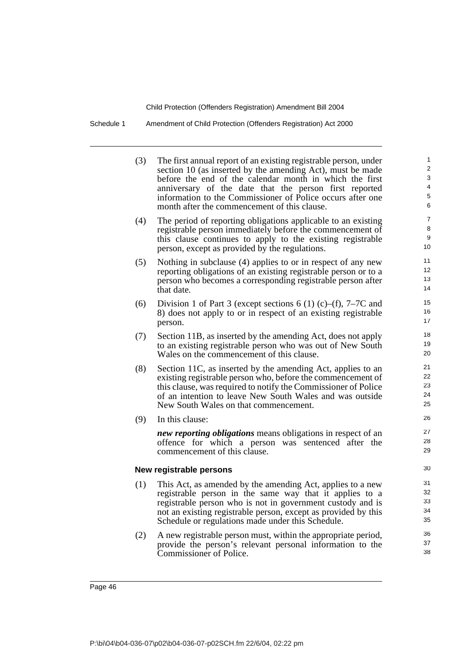Schedule 1 Amendment of Child Protection (Offenders Registration) Act 2000

| (3) | The first annual report of an existing registrable person, under<br>section 10 (as inserted by the amending Act), must be made<br>before the end of the calendar month in which the first<br>anniversary of the date that the person first reported<br>information to the Commissioner of Police occurs after one | 1<br>2<br>3<br>4<br>5 |
|-----|-------------------------------------------------------------------------------------------------------------------------------------------------------------------------------------------------------------------------------------------------------------------------------------------------------------------|-----------------------|
|     | month after the commencement of this clause.                                                                                                                                                                                                                                                                      | 6                     |
| (4) | The period of reporting obligations applicable to an existing                                                                                                                                                                                                                                                     | $\overline{7}$<br>8   |
|     | registrable person immediately before the commencement of<br>this clause continues to apply to the existing registrable                                                                                                                                                                                           | 9                     |
|     | person, except as provided by the regulations.                                                                                                                                                                                                                                                                    | 10                    |
| (5) | Nothing in subclause (4) applies to or in respect of any new                                                                                                                                                                                                                                                      | 11                    |
|     | reporting obligations of an existing registrable person or to a                                                                                                                                                                                                                                                   | 12                    |
|     | person who becomes a corresponding registrable person after<br>that date.                                                                                                                                                                                                                                         | 13<br>14              |
| (6) | Division 1 of Part 3 (except sections 6 (1) (c)–(f), 7–7C and                                                                                                                                                                                                                                                     | 15                    |
|     | 8) does not apply to or in respect of an existing registrable                                                                                                                                                                                                                                                     | 16                    |
|     | person.                                                                                                                                                                                                                                                                                                           | 17                    |
| (7) | Section 11B, as inserted by the amending Act, does not apply                                                                                                                                                                                                                                                      | 18                    |
|     | to an existing registrable person who was out of New South<br>Wales on the commencement of this clause.                                                                                                                                                                                                           | 19<br>20              |
| (8) | Section 11C, as inserted by the amending Act, applies to an                                                                                                                                                                                                                                                       | 21                    |
|     | existing registrable person who, before the commencement of                                                                                                                                                                                                                                                       | 22                    |
|     | this clause, was required to notify the Commissioner of Police                                                                                                                                                                                                                                                    | 23<br>24              |
|     | of an intention to leave New South Wales and was outside<br>New South Wales on that commencement.                                                                                                                                                                                                                 | 25                    |
| (9) | In this clause:                                                                                                                                                                                                                                                                                                   | 26                    |
|     | new reporting obligations means obligations in respect of an                                                                                                                                                                                                                                                      | 27                    |
|     | offence for which a person was sentenced after the                                                                                                                                                                                                                                                                | 28                    |
|     | commencement of this clause.                                                                                                                                                                                                                                                                                      | 29                    |
|     | New registrable persons                                                                                                                                                                                                                                                                                           | 30                    |
| (1) | This Act, as amended by the amending Act, applies to a new                                                                                                                                                                                                                                                        | 31                    |
|     | registrable person in the same way that it applies to a                                                                                                                                                                                                                                                           | 32                    |
|     | registrable person who is not in government custody and is<br>not an existing registrable person, except as provided by this                                                                                                                                                                                      | 33<br>34              |
|     | Schedule or regulations made under this Schedule.                                                                                                                                                                                                                                                                 | 35                    |
| (2) | A new registrable person must, within the appropriate period,                                                                                                                                                                                                                                                     | 36                    |
|     | provide the person's relevant personal information to the                                                                                                                                                                                                                                                         | 37                    |
|     | Commissioner of Police.                                                                                                                                                                                                                                                                                           | 38                    |
|     |                                                                                                                                                                                                                                                                                                                   |                       |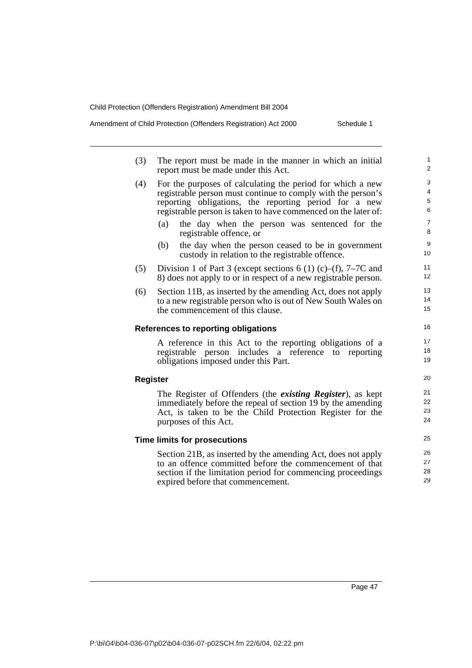Amendment of Child Protection (Offenders Registration) Act 2000 Schedule 1

| report must be made under this Act.                             | 2                                                                                                                                                                                                                                                                                                                                                                                                                                                                                                                                                                                                                                                                                                                                                                                                                                                                                                                                          |
|-----------------------------------------------------------------|--------------------------------------------------------------------------------------------------------------------------------------------------------------------------------------------------------------------------------------------------------------------------------------------------------------------------------------------------------------------------------------------------------------------------------------------------------------------------------------------------------------------------------------------------------------------------------------------------------------------------------------------------------------------------------------------------------------------------------------------------------------------------------------------------------------------------------------------------------------------------------------------------------------------------------------------|
| For the purposes of calculating the period for which a new      | 3                                                                                                                                                                                                                                                                                                                                                                                                                                                                                                                                                                                                                                                                                                                                                                                                                                                                                                                                          |
|                                                                 | 4                                                                                                                                                                                                                                                                                                                                                                                                                                                                                                                                                                                                                                                                                                                                                                                                                                                                                                                                          |
|                                                                 | 5                                                                                                                                                                                                                                                                                                                                                                                                                                                                                                                                                                                                                                                                                                                                                                                                                                                                                                                                          |
| registrable person is taken to have commenced on the later of:  | 6                                                                                                                                                                                                                                                                                                                                                                                                                                                                                                                                                                                                                                                                                                                                                                                                                                                                                                                                          |
|                                                                 | $\overline{7}$                                                                                                                                                                                                                                                                                                                                                                                                                                                                                                                                                                                                                                                                                                                                                                                                                                                                                                                             |
| registrable offence, or                                         | 8                                                                                                                                                                                                                                                                                                                                                                                                                                                                                                                                                                                                                                                                                                                                                                                                                                                                                                                                          |
|                                                                 | 9                                                                                                                                                                                                                                                                                                                                                                                                                                                                                                                                                                                                                                                                                                                                                                                                                                                                                                                                          |
| custody in relation to the registrable offence.                 | 10                                                                                                                                                                                                                                                                                                                                                                                                                                                                                                                                                                                                                                                                                                                                                                                                                                                                                                                                         |
|                                                                 | 11                                                                                                                                                                                                                                                                                                                                                                                                                                                                                                                                                                                                                                                                                                                                                                                                                                                                                                                                         |
| 8) does not apply to or in respect of a new registrable person. | 12                                                                                                                                                                                                                                                                                                                                                                                                                                                                                                                                                                                                                                                                                                                                                                                                                                                                                                                                         |
|                                                                 | 13                                                                                                                                                                                                                                                                                                                                                                                                                                                                                                                                                                                                                                                                                                                                                                                                                                                                                                                                         |
|                                                                 | 14                                                                                                                                                                                                                                                                                                                                                                                                                                                                                                                                                                                                                                                                                                                                                                                                                                                                                                                                         |
| the commencement of this clause.                                | 15                                                                                                                                                                                                                                                                                                                                                                                                                                                                                                                                                                                                                                                                                                                                                                                                                                                                                                                                         |
|                                                                 | 16                                                                                                                                                                                                                                                                                                                                                                                                                                                                                                                                                                                                                                                                                                                                                                                                                                                                                                                                         |
|                                                                 | 17                                                                                                                                                                                                                                                                                                                                                                                                                                                                                                                                                                                                                                                                                                                                                                                                                                                                                                                                         |
|                                                                 | 18                                                                                                                                                                                                                                                                                                                                                                                                                                                                                                                                                                                                                                                                                                                                                                                                                                                                                                                                         |
| obligations imposed under this Part.                            | 19                                                                                                                                                                                                                                                                                                                                                                                                                                                                                                                                                                                                                                                                                                                                                                                                                                                                                                                                         |
|                                                                 | 20                                                                                                                                                                                                                                                                                                                                                                                                                                                                                                                                                                                                                                                                                                                                                                                                                                                                                                                                         |
|                                                                 | 21                                                                                                                                                                                                                                                                                                                                                                                                                                                                                                                                                                                                                                                                                                                                                                                                                                                                                                                                         |
|                                                                 | 22                                                                                                                                                                                                                                                                                                                                                                                                                                                                                                                                                                                                                                                                                                                                                                                                                                                                                                                                         |
|                                                                 | 23                                                                                                                                                                                                                                                                                                                                                                                                                                                                                                                                                                                                                                                                                                                                                                                                                                                                                                                                         |
| purposes of this Act.                                           | 24                                                                                                                                                                                                                                                                                                                                                                                                                                                                                                                                                                                                                                                                                                                                                                                                                                                                                                                                         |
|                                                                 | 25                                                                                                                                                                                                                                                                                                                                                                                                                                                                                                                                                                                                                                                                                                                                                                                                                                                                                                                                         |
|                                                                 | 26                                                                                                                                                                                                                                                                                                                                                                                                                                                                                                                                                                                                                                                                                                                                                                                                                                                                                                                                         |
| to an offence committed before the commencement of that         | 27                                                                                                                                                                                                                                                                                                                                                                                                                                                                                                                                                                                                                                                                                                                                                                                                                                                                                                                                         |
|                                                                 |                                                                                                                                                                                                                                                                                                                                                                                                                                                                                                                                                                                                                                                                                                                                                                                                                                                                                                                                            |
| section if the limitation period for commencing proceedings     | 28                                                                                                                                                                                                                                                                                                                                                                                                                                                                                                                                                                                                                                                                                                                                                                                                                                                                                                                                         |
|                                                                 | registrable person must continue to comply with the person's<br>reporting obligations, the reporting period for a new<br>(a)<br>the day when the person was sentenced for the<br>the day when the person ceased to be in government<br>(b)<br>Division 1 of Part 3 (except sections 6 (1) (c)–(f), 7–7C and<br>Section 11B, as inserted by the amending Act, does not apply<br>to a new registrable person who is out of New South Wales on<br><b>References to reporting obligations</b><br>A reference in this Act to the reporting obligations of a<br>registrable person includes a reference to reporting<br><b>Register</b><br>The Register of Offenders (the <i>existing Register</i> ), as kept<br>immediately before the repeal of section 19 by the amending<br>Act, is taken to be the Child Protection Register for the<br><b>Time limits for prosecutions</b><br>Section 21B, as inserted by the amending Act, does not apply |